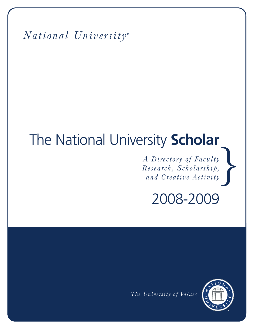*National University* **®**

# } The National University **Scholar**

*A Directory of Faculty Research, Scholarship, and Creative Activity*

2008-2009

*The University of Values*

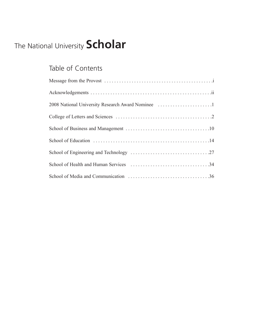# The National University **Scholar**

## Table of Contents

| 2008 National University Research Award Nominee 1 |
|---------------------------------------------------|
|                                                   |
|                                                   |
|                                                   |
|                                                   |
|                                                   |
|                                                   |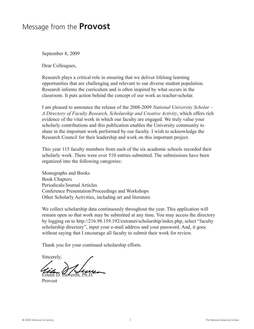### Message from the **Provost**

September 8, 2009

Dear Colleagues,

Research plays a critical role in ensuring that we deliver lifelong learning opportunities that are challenging and relevant to our diverse student population. Research informs the curriculum and is often inspired by what occurs in the classroom. It puts action behind the concept of our work as teacher-scholar.

I am pleased to announce the release of the 2008-2009 *National University Scholar – A Directory of Faculty Research, Scholarship and Creative Activity*, which offers rich evidence of the vital work in which our faculty are engaged*.* We truly value your scholarly contributions and this publication enables the University community to share in the important work performed by our faculty. I wish to acknowledge the Research Council for their leadership and work on this important project.

This year 115 faculty members from each of the six academic schools recorded their scholarly work. There were over 510 entries submitted. The submissions have been organized into the following categories:

Monographs and Books Book Chapters Periodicals/Journal Articles Conference Presentation/Proceedings and Workshops Other Scholarly Activities, including art and literature

We collect scholarship data continuously throughout the year. This application will remain open so that work may be submitted at any time. You may access the directory by logging on to http://216.98.159.192/extranet/scholarship/index.php, select "faculty scholarship directory", input your e-mail address and your password. And, it goes without saying that I encourage all faculty to submit their work for review.

Thank you for your continued scholarship efforts.

Sincerely, Eileen D. Heveron, Ph.D.

Provost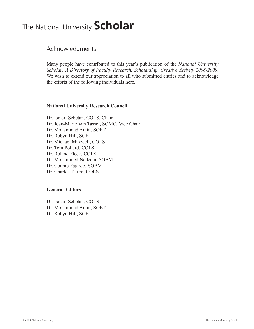## The National University **Scholar**

Acknowledgments

Many people have contributed to this year's publication of the *National University Scholar: A Directory of Faculty Research, Scholarship, Creative Activity 2008-2009*. We wish to extend our appreciation to all who submitted entries and to acknowledge the efforts of the following individuals here.

#### **National University Research Council**

Dr. Ismail Sebetan, COLS, Chair Dr. Joan-Marie Van Tassel, SOMC, Vice Chair Dr. Mohammad Amin, SOET Dr. Robyn Hill, SOE Dr. Michael Maxwell, COLS Dr. Tom Pollard, COLS Dr. Roland Fleck, COLS Dr. Mohammed Nadeem, SOBM Dr. Connie Fajardo, SOBM Dr. Charles Tatum, COLS

#### **General Editors**

Dr. Ismail Sebetan, COLS Dr. Mohammad Amin, SOET Dr. Robyn Hill, SOE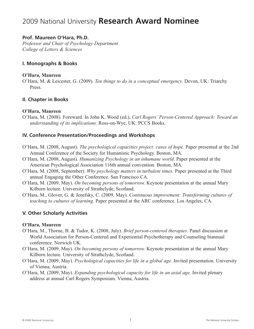## 2009 National University **Research Award Nominee**

#### **Prof. Maureen O'Hara, Ph.D.**

*Professor and Chair of Psychology Department College of Letters & Sciences*

#### **I. Monographs & Books**

#### **O'Hara, Maureen**

O'Hara, M. & Leicester, G. (2009). *Ten things to do in a conceptual emergency.* Devon, UK: Triarchy Press.

#### **II. Chapter in Books**

#### **O'Hara, Maureen**

O'Hara, M. (2008). Foreward. In John K. Wood (ed.), *Carl Rogers' Person-Centered Approach: Toward an understanding of its implications.* Ross-on-Wye, UK: PCCS Books.

#### **IV. Conference Presentation/Proceedings and Workshops**

- O'Hara, M. (2008, August). *The psychological capacities project: cases of hope.* Paper presented at the 2nd Annual Conference of the Society for Humanistic Psychology. Boston, MA.
- O'Hara, M. (2008, August). *Humanizing Psychology in an inhumane world.* Paper presented at the American Psychological Association 116th annual convention. Boston, MA.
- O'Hara, M. (2008, September). *Why psychology matters in turbulent times.* Paper presented at the Third annual Engaging the Other Conference. San Francisco CA.
- O'Hara, M. (2009, May). *On becoming persons of tomorrow.* Keynote presentation at the annual Mary Kilborn lecture. University of Strathclyde, Scotland.
- O'Hara, M., Glover, G. & Jenefsky, C. (2009, May). *Continuous improvement: Transforming cultures of teaching to cultures of learning.* Paper presented at the ARC conference. Los Angeles, CA.

#### **V. Other Scholarly Activities**

#### **O'Hara, Maureen**

- O'Hara, M., Thorne, B. & Tudor, K. (2008, July). *Brief person-centered therapies.* Panel discussion at World Association for Person-Centered and Experiential Psychotherapy and Counseling biannual conference. Norwich UK.
- O'Hara, M. (2009, May). *On becoming persons of tomorrow.* Keynote presentation at the annual Mary Kilborn lecture. University of Strathclyde, Scotland.
- O'Hara, M. (2009, May). *Psychological capacities for life in a global age.* Invited presentation. University of Vienna, Austria.
- O'Hara, M. (2009, May). *Expanding psychological capacity for life in an axial age.* Invited plenary address at annual Carl Rogers Symposium. Vienna, Austria.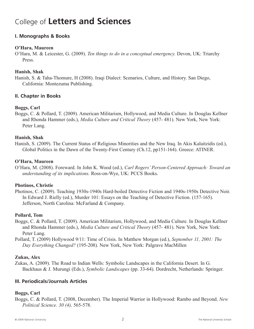## College of **Letters and Sciences**

#### **I. Monographs & Books**

#### **O'Hara, Maureen**

O'Hara, M. & Leicester, G. (2009). *Ten things to do in a conceptual emergency.* Devon, UK: Triarchy Press.

#### **Hanish, Shak**

Hanish, S. & Taha-Thomure, H (2008). Iraqi Dialect: Scenarios, Culture, and History. San Diego, California: Montezuma Publishing.

#### **II. Chapter in Books**

#### **Boggs, Carl**

Boggs, C. & Pollard, T. (2009). American Militarism, Hollywood, and Media Culture. In Douglas Kellner and Rhonda Hammer (eds.), *Media Culture and Critical Theory* (457- 481). New York, New York: Peter Lang.

#### **Hanish, Shak**

Hanish, S. (2009). The Current Status of Religious Minorities and the New Iraq. In Akis Kalaitzidis (ed.), Global Politics in the Dawn of the Twenty-First Century (Ch.12, pp151-164). Greece: ATINER.

#### **O'Hara, Maureen**

O'Hara, M. (2008). Foreward. In John K. Wood (ed.), *Carl Rogers' Person-Centered Approach: Toward an understanding of its implications.* Ross-on-Wye, UK: PCCS Books.

#### **Photinos, Christie**

Photinos, C. (2009). Teaching 1930s-1940s Hard-boiled Detective Fiction and 1940s-1950s Detective Noir. In Edward J. Rielly (ed.), Murder 101: Essays on the Teaching of Detective Fiction. (157-165). Jefferson, North Carolina: McFarland & Company.

#### **Pollard, Tom**

Boggs, C. & Pollard, T. (2009). American Militarism, Hollywood, and Media Culture. In Douglas Kellner and Rhonda Hammer (eds.), *Media Culture and Critical Theory* (457- 481). New York, New York: Peter Lang.

Pollard, T. (2009) Hollywood 9/11: Time of Crisis. In Matthew Morgan (ed.), *September 11, 2001: The Day Everything Changed?* (195-208). New York, New York: Palgrave MacMillen

#### **Zukas, Alex**

Zukas, A. (2009). The Road to Indian Wells: Symbolic Landscapes in the California Desert. In G. Backhaus & J. Murungi (Eds.), *Symbolic Landscapes* (pp. 33-64). Dordrecht, Netherlands: Springer.

#### **III. Periodicals/Journals Articles**

#### **Boggs, Carl**

Boggs, C. & Pollard, T. (2008, December). The Imperial Warrior in Hollywood: Rambo and Beyond. *New Political Science. 30 (4),* 565-578.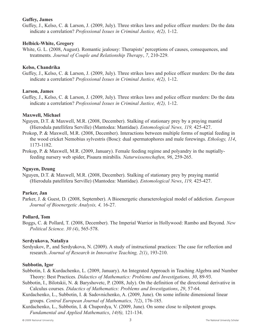#### **Guffey, James**

Guffey, J., Kelso, C. & Larson, J. (2009, July). Three strikes laws and police officer murders: Do the data indicate a correlation? *Professional Issues in Criminal Justice, 4(2),* 1-12.

#### **Helbick-White, Gregory**

White, G. L. (2008, August). Romantic jealousy: Therapists' perceptions of causes, consequences, and treatments*. Journal of Couple and Relationship Therapy*, *7*, 210-229.

#### **Kelso, Chandrika**

Guffey, J., Kelso, C. & Larson, J. (2009, July). Three strikes laws and police officer murders: Do the data indicate a correlation? *Professional Issues in Criminal Justice, 4(2),* 1-12.

#### **Larson, James**

Guffey, J., Kelso, C. & Larson, J. (2009, July). Three strikes laws and police officer murders: Do the data indicate a correlation? *Professional Issues in Criminal Justice, 4(2),* 1-12.

#### **Maxwell, Michael**

- Nguyen, D.T. & Maxwell, M.R. (2008, December). Stalking of stationary prey by a praying mantid (Hierodula patellifera Serville) (Mantodea: Mantidae). *Entomological News, 119,* 425-427.
- Prokop, P. & Maxwell, M.R. (2008, December). Interactions between multiple forms of nuptial feeding in the wood cricket Nemobius sylvestris (Bosc): dual spermatophores and male forewings. *Ethology, 114*, 1173-1182.
- Prokop, P. & Maxwell, M.R. (2009, January). Female feeding regime and polyandry in the nuptiallyfeeding nursery web spider, Pisaura mirabilis*. Naturwissenschaften, 96*, 259-265.

#### **Nguyen, Dzung**

Nguyen, D.T. & Maxwell, M.R. (2008, December). Stalking of stationary prey by praying mantid (Hierodula patellifera Serville) (Mantodea: Mantidae). *Entomological News*, *119,* 425-427.

#### **Parker, Jan**

Parker, J. & Guest, D. (2008, September). A Bioenergetic characterological model of addiction*. European Journal of Bioenergetic Analysis, 4,* 16-27.

#### **Pollard, Tom**

Boggs, C. & Pollard, T. (2008, December). The Imperial Warrior in Hollywood: Rambo and Beyond*. New Political Science. 30 (4)*, 565-578.

#### **Serdyukova, Nataliya**

Serdyukov, P., and Serdyukova, N. (2009). A study of instructional practices: The case for reflection and research. *Journal of Research in Innovative Teaching, 2(1)*, 193-210.

#### **Subbotin, Igor**

- Subbotin, I. & Kurdachenko, L. (2009, January). An Integrated Approach in Teaching Algebra and Number Theory: Best Practices*. Didactics of Mathematics: Problems and Investigations, 30*, 89-93.
- Subbotin, I., Bilotskii, N. & Baryshovetc, P. (2008, July). On the definition of the directional derivative in Calculus courses*. Didactics of Mathematics: Problems and Investigations*, *29*, 57-64.
- Kurdachenko, L., Subbotin, I. & Sadovnichenko, A. (2009, June). On some infinite dimensional linear groups. *Central European Journal of Mathematics, 7(2)*, 176-185.
- Kurdachenko, L., Subbotin, I. & Chupordya, V. (2009, June). On some close to nilpotent groups*. Fundamental and Applied Mathematics*, *14(6),* 121-134.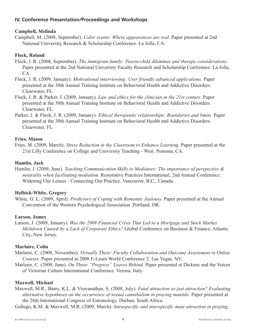#### **IV. Conference Presentation/Proceedings and Workshops**

#### **Campbell, Melinda**

Campbell, M. (2008, September). *Color events: Where appearances are real.* Paper presented at 2nd National University Research & Scholarship Conference. La Jolla, CA.

#### **Fleck, Roland**

- Fleck, J. R. (2008, September). *The immigrant family: Parent-child dilemmas and therapy considerations.* Paper presented at the 2nd National University Faculty Research and Scholarship Conference. La Jolla, CA.
- Fleck, J. R. (2009, January). *Motivational interviewing: User friendly advanced applications.* Paper presented at the 30th Annual Training Institute on Behavioral Health and Addictive Disorders. Clearwater, FL.
- Fleck, J. R. & Parker, J. (2009, January). *Law and ethics for the clinician in the 21st century.* Paper presented at the 30th Annual Training Institute on Behavioral Health and Addictive Disorders. Clearwater, FL.
- Parker, J. & Fleck, J. R. (2009, January). *Ethical therapeutic relationships: Boundaries and limits.* Paper presented at the 30th Annual Training Institute on Behavioral Health and Addictive Disorders. Clearwater, FL.

#### **Fries, Mason**

Fries, M. (2009, March). *Stress Reduction in the Classroom to Enhance Learning.* Paper presented at the 21st Lilly Conference on College and University Teaching - West. Pomona, CA.

#### **Hamlin, Jack**

Hamlin, J. (2009, June). *Teaching Communication Skills to Mediators: The importance of perspective & neutrality when facilitating mediation.* Restorative Practices International, 2nd Annual Conference: Widening Our Lenses - Connecting Our Practice. Vancouver, B.C., Canada.

#### **Helbick-White, Gregory**

White, G. L. (2009, April). *Predictors of Coping with Romantic Jealousy.* Paper presented at the Annual Convention of the Western Psychological Association. Portland, OR.

#### **Larson, James**

Larson, J. (2009, January). *Was the 2008 Financial Crisis That Led to a Mortgage and Stock Market Meltdown Caused by a Lack of Corporate Ethics?* Global Conference on Business & Finance. Atlantic City, New Jersey.

#### **Marlaire, Colin**

- Marlaire, C. (2008, November). *Virtually There: Faculty Collaboration and Outcome Assessment in Online Courses.* Paper presented at 2008 E-Learn World Conference 2. Las Vegas, NV.
- Marlaire, C. (2009, June). *On Those "Progress" Leaves Behind.* Paper presented at Dickens and the Voices of Victorian Culture International Conference. Verona, Italy.

#### **Maxwell, Michael**

- Maxwell, M.R., Barry, K.L. & Viswanathan, S. (2008, July). *Fatal attraction or just attraction? Evaluating alternative hypotheses on the occurrence of sexual cannibalism in praying mantids.* Paper presented at the 28th International Congress of Entomology. Durban, South Africa.
- Gallego, K.M. & Maxwell, M.R. (2009, March). *Intraspecific and interspecific mate attraction in praying*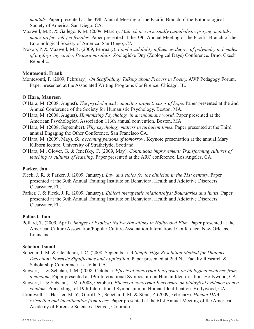*mantids.* Paper presented at the 39th Annual Meeting of the Pacific Branch of the Entomological Society of America. San Diego, CA.

- Maxwell, M.R. & Gallego, K.M. (2009, March). *Male choice in sexually cannibalistic praying mantids: males prefer well-fed females.* Paper presented at the 39th Annual Meeting of the Pacific Branch of the Entomological Society of America. San Diego, CA.
- Prokop, P. & Maxwell, M.R. (2009, February). *Food availability influences degree of polyandry in females of a gift-giving spider, Pisaura mirabilis.* Zoologické Dny (Zoological Days) Conference. Brno, Czech Republic.

#### **Montesonti, Frank**

Montesonti, F. (2009, February). *On Scaffolding: Talking about Process in Poetry.* AWP Pedagogy Forum. Paper presented at the Associated Writing Programs Conference. Chicago, IL.

#### **O'Hara, Maureen**

- O'Hara, M. (2008, August). *The psychological capacities project: cases of hope.* Paper presented at the 2nd Annual Conference of the Society for Humanistic Psychology. Boston, MA.
- O'Hara, M. (2008, August). *Humanizing Psychology in an inhumane world.* Paper presented at the American Psychological Association 116th annual convention. Boston, MA.
- O'Hara, M. (2008, September). *Why psychology matters in turbulent times.* Paper presented at the Third annual Engaging the Other Conference. San Francisco CA.
- O'Hara, M. (2009, May). *On becoming persons of tomorrow.* Keynote presentation at the annual Mary Kilborn lecture. University of Strathclyde, Scotland.
- O'Hara, M., Glover, G. & Jenefsky, C. (2009, May). *Continuous improvement: Transforming cultures of teaching to cultures of learning.* Paper presented at the ARC conference. Los Angeles, CA.

#### **Parker, Jan**

- Fleck, J. R. & Parker, J. (2009, January). *Law and ethics for the clinician in the 21st century.* Paper presented at the 30th Annual Training Institute on Behavioral Health and Addictive Disorders. Clearwater, FL.
- Parker, J. & Fleck, J. R. (2009, January). *Ethical therapeutic relationships: Boundaries and limits.* Paper presented at the 30th Annual Training Institute on Behavioral Health and Addictive Disorders. Clearwater, FL.

#### **Pollard, Tom**

Pollard, T. (2009, April). *Images of Exotica: Native Hawaiians in Hollywood Film.* Paper presented at the American Culture Association/Popular Culture Association International Conference. New Orleans, Louisiana.

#### **Sebetan, Ismail**

- Sebetan, I. M. & Clendenin, I. C. (2008, September). *A Simple High Resolution Method for Diatoms Detection: Forensic Significance and Application.* Paper presented at 2nd NU Faculty Research & Scholarship Conference. La Jolla, CA.
- Stewart, L. & Sebetan, I. M. (2008, October). *Effects of nonoxynol-9 exposure on biological evidence from a condom.* Paper presented at 19th International Symposium on Human Identification. Hollywood, CA.
- Stewart, L. & Sebetan, I. M. (2008, October). *Effects of nonoxynol-9 exposure on biological evidence from a condom.* Proceedings of 19th International Symposium on Human Identification. Hollywood, CA.
- Cromwell, J., Hassler, M. Y., Guroff, S., Sebetan, I. M. & Stein, P. (2009, February). *Human DNA extraction and identification from feces.* Paper presented at the 61st Annual Meeting of the American Academy of Forensic Sciences. Denver, Colorado.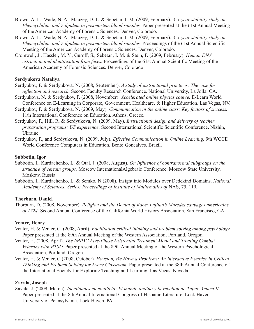- Brown, A. L., Wade, N. A., Mauzey, D. L. & Sebetan, I. M. (2009, February). *A 5-year stability study on Phencyclidine and Zolpidem in postmortem blood samples.* Paper presented at the 61st Annual Meeting of the American Academy of Forensic Sciences. Denver, Colorado.
- Brown, A. L., Wade, N. A., Mauzey, D. L. & Sebetan, I. M. (2009, February). *A 5-year stability study on Phencyclidine and Zolpidem in postmortem blood samples.* Proceedings of the 61st Annual Scientific Meeting of the American Academy of Forensic Sciences. Denver, Colorado.
- Cromwell, J., Hassler, M. Y., Guroff, S., Sebetan, I. M. & Stein, P. (2009, February). *Human DNA extraction and identification from feces.* Proceedings of the 61st Annual Scientific Meeting of the American Academy of Forensic Sciences. Denver, Colorado

#### **Serdyukova Nataliya**

- Serdyukov, P. & Serdyukova, N. (2008, September). *A study of instructional practices: The case for reflection and research.* Second Faculty Research Conference. National University, La Jolla, CA.
- Serdyukova, N. & Serdyukov, P. (2008, November). *Accelerated online physics course.* E-Learn World Conference on E-Learning in Corporate, Government, Healthcare, & Higher Education. Las Vegas, NV.
- Serdyukov, P. & Serdyukova, N. (2009, May). *Communication in the online class: Key factors of success.* 11th International Conference on Education. Athens, Greece.
- Serdyukov, P., Hill, R. & Serdyukova, N. (2009, May). *Instructional design and delivery of teacher preparation programs: US experience*. Second International Scientific Scientific Conference. Nizhin, Ukraine.
- Serdyukov, P., and Serdyukova, N. (2009, July). *Effective Communication in Online Learning.* 9th WCCE World Conference Computers in Education. Bento Goncalves, Brazil.

#### **Subbotin, Igor**

- Subbotin, I., Kurdachenko, L. & Otal, J. (2008, August). *On Influence of contranormal subgroups on the structure of certain groups.* Moscow InternationalAlgebraic Conference, Moscow State University, Moskow, Russia.
- Subbotin, I., Kurdachenko, L. & Semko, N (2008). Insight into Modules over Dedekind Domains. *National Academy of Sciences, Series: Proceedings of Institute of Mathematics of* NAS, 75, 119.

#### **Thorburn, Daniel**

Thorburn, D. (2008, November). *Religion and the Denial of Race: Lafitau's Mursdes sauvages américains of 1724.* Second Annual Conference of the California World History Association. San Francisco, CA.

#### **Venter, Henry**

- Venter, H. & Venter, C. (2008, April). *Facilitation critical thinking and problem solving among psychology.* Paper presented at the 89th Annual Meeting of the Western Association, Portland, Oregon.
- Venter, H. (2008, April). *The IMPAC Five-Phase Existential Treatment Model and Treating Combat Veterans with PTSD.* Paper presented at the 89th Annual Meeting of the Western Psychological Association, Portland, Oregon.
- Venter, H. & Venter, C (2008, October). *Houston, We Have a Problem!: An Interactive Exercise in Critical Thinking and Problem Solving for Every Classroom.* Paper presented at the 38th Annual Conference of the International Society for Exploring Teaching and Learning, Las Vegas, Nevada.

#### **Zavala, Joseph**

Zavala, J. (2009, March). *Identidades en conflicto: El mundo andino y la rebelión de Túpac Amaru II.* Paper presented at the 8th Annual International Congress of Hispanic Literature. Lock Haven University of Pennsylvania. Lock Haven, PA.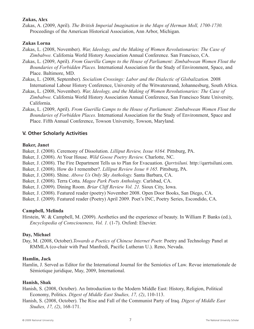#### **Zukas, Alex**

Zukas, A. (2009, April). *The British Imperial Imagination in the Maps of Herman Moll, 1700-1730.* Proceedings of the American Historical Association, Ann Arbor, Michigan.

#### **Zukas Lorna**

- Zukas, L. (2008, November). *War, Ideology, and the Making of Women Revolutionaries: The Case of Zimbabwe.* California World History Association Annual Conference. San Francisco, CA.
- Zukas, L. (2009, April). *From Guerilla Camps to the House of Parliament: Zimbabwean Women Flout the Boundaries of Forbidden Places.* International Association for the Study of Environment, Space, and Place. Baltimore, MD.
- Zukas, L. (2008, September). *Socialism Crossings: Labor and the Dialectic of Globalization.* 2008 International Labour History Conference, University of the Witwatersrand, Johannesburg, South Africa.
- Zukas, L. (2008, November). *War, Ideology, and the Making of Women Revolutionaries: The Case of Zimbabwe.* California World History Association Annual Conference, San Francisco State University, California.
- Zukas, L. (2009, April). *From Guerilla Camps to the House of Parliament: Zimbabwean Women Flout the Boundaries of Forbidden Places.* International Association for the Study of Environment, Space and Place. Fifth Annual Conference, Towson University, Towson, Maryland.

#### **V. Other Scholarly Activities**

#### **Baker, Janet**

Baker, J. (2008). Ceremony of Dissolution. *Lilliput Review, Issue #164.* Pittsburg, PA.

- Baker, J. (2008). At Your House. *Wild Goose Poetry Review.* Charlotte, NC.
- Baker, J. (2008). The Fire Department Tells us to Plan for Evacuation. *Qarrtsiluni.* http://qarrtsiluni.com.
- Baker, J. (2008). How do I remember?. *Lilliput Review Issue # 165.* Pittsburg, PA.
- Baker, J. (2008). Shine. *Above Us Only Sky Anthology.* Santa Barbara, CA.
- Baker, J. (2008). Terra Cotta. *Magee Park Poets Anthology.* Carlsbad, CA.
- Baker, J. (2009). Dining Room. *Briar Cliff Review Vol. 21.* Sioux City, Iowa.
- Baker, J. (2008). Featured reader (poetry) November 2008. Open Door Books, San Diego, CA.
- Baker, J. (2009). Featured reader (Poetry) April 2009. Poet's INC, Poetry Series, Escondido, CA.

#### **Campbell, Melinda**

Hirstein, W. & Campbell, M. (2009). Aesthetics and the experience of beauty. In William P. Banks (ed.), *Encyclopedia of Consciousness, Vol. 1.* (1-7). Oxford: Elsevier.

#### **Day, Michael**

Day, M. (2008, October).*Towards a Poetics of Chinese Internet Poetr.* Poetry and Technology Panel at RMMLA (co-chair with Paul Manfredi, Pacific Lutheran U.). Reno, Nevada.

#### **Hamlin, Jack**

Hamlin, J. Served as Editor for the International Journal for the Semiotics of Law. Revue internationale de Sémiotique juridique, May, 2009, International.

#### **Hanish, Shak**

Hanish, S. (2008, October). An Introduction to the Modern Middle East: History, Religion, Political Economy, Politics. *Digest of Middle East Studies, 17, (2)*, 110-113.

Hanish, S. (2008, October). The Rise and Fall of the Communist Party of Iraq. *Digest of Middle East Studies, 17, (2)*, 168-171.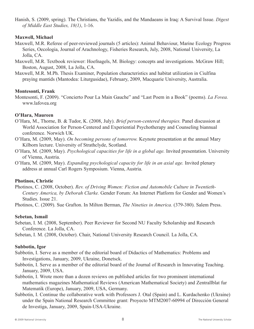Hanish, S. (2009, spring). The Christians, the Yazidis, and the Mandaeans in Iraq: A Survival Issue. *Digest of Middle East Studies, 18(1)*, 1-16.

#### **Maxwell, Michael**

- Maxwell, M.R. Referee of peer-reviewed journals (5 articles): Animal Behaviour, Marine Ecology Progress Series, Oecologia, Journal of Arachnology, Fisheries Research, July, 2008, National University, La Jolla, CA.
- Maxwell, M.R. Textbook reviewer: Hoefnagels, M. Biology: concepts and investigations. McGraw Hill; Boston, August, 2008, La Jolla, CA.
- Maxwell, M.R. M.Ph. Thesis Examiner, Population characteristics and habitat utilization in Ciulfina praying mantids (Mantodea: Liturgusidae), February, 2009, Macquarie University, Australia.

#### **Montesonti, Frank**

Montesonti, F. (2009). "Concierto Pour La Main Gauche" and "Last Poem in a Book" (poems). *La Fovea.* www.lafovea.org

#### **O'Hara, Maureen**

- O'Hara, M., Thorne, B. & Tudor, K. (2008, July). *Brief person-centered therapies.* Panel discussion at World Association for Person-Centered and Experiential Psychotherapy and Counseling biannual conference. Norwich UK.
- O'Hara, M. (2009, May). *On becoming persons of tomorrow.* Keynote presentation at the annual Mary Kilborn lecture. University of Strathclyde, Scotland.
- O'Hara, M. (2009, May). *Psychological capacities for life in a global age.* Invited presentation. University of Vienna, Austria.
- O'Hara, M. (2009, May). *Expanding psychological capacity for life in an axial age.* Invited plenary address at annual Carl Rogers Symposium. Vienna, Austria.

#### **Photinos, Christie**

Photinos, C. (2008, October). *Rev. of Driving Women: Fiction and Automobile Culture in Twentieth-Century America, by Deborah Clarke.* Gender Forum: An Internet Platform for Gender and Women's Studies. Issue 21.

Photinos, C. (2009). Sue Grafton. In Milton Berman, *The Nineties in America.* (379-380). Salem Press.

#### **Sebetan, Ismail**

Sebetan, I. M. (2008, September). Peer Reviewer for Second NU Faculty Scholarship and Research Conference. La Jolla, CA.

Sebetan, I. M. (2008, October). Chair, National University Research Council. La Jolla, CA.

#### **Subbotin, Igor**

- Subbotin, I. Serve as a member of the editorial board of Didactics of Mathematics: Problems and Investigations, January, 2009, Ukraine, Donetsck.
- Subbotin, I. Serve as a member of the editorial board of the Journal of Research in Innovating Teaching. January, 2009, USA.
- Subbotin, I. Wrote more than a dozen reviews on published articles for two prominent international mathematics magazines Mathematical Reviews (American Mathematical Society) and Zentrallblat fur Matematik (Europe), January, 2009, USA, Germany.
- Subbotin, I. Continue the collaborative work with Professors J. Otal (Spain) and L. Kurdachenko (Ukraine) under the Spain National Research Committee grant: Proyecto MTM2007-60994 of Dirección General de Investiga, January, 2009, Spain-USA-Ukraine.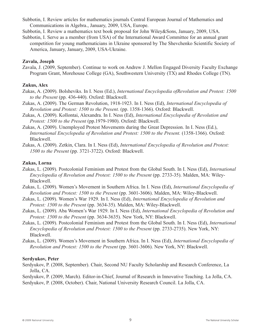Subbotin, I. Review articles for mathematics journals Central European Journal of Mathematics and Communications in Algebra., January, 2009, USA, Europe.

Subbotin, I. Review a mathematics text book proposal for John Wiley&Sons, January, 2009, USA.

Subbotin, I. Serve as a member (from USA) of the International Award Committee for an annual grant competition for young mathematicians in Ukraine sponsored by The Shevchenko Scientific Society of America, January, January, 2009, USA-Ukraine.

#### **Zavala, Joseph**

Zavala, J. (2009, September). Continue to work on Andrew J. Mellon Engaged Diversity Faculty Exchange Program Grant, Morehouse College (GA), Southwestern University (TX) and Rhodes College (TN).

#### **Zukus, Alex**

- Zukas, A. (2009). Bolsheviks. In I. Ness (Ed.), *International Encyclopedia ofRevolution and Protest: 1500 to the Present* (pp. 436-440). Oxford: Blackwell.
- Zukas, A. (2009). The German Revolution, 1918-1923. In I. Ness (Ed), *International Encyclopedia of Revolution and Protest: 1500 to the Present.* (pp. 1358-1366). Oxford: Blackwell.
- Zukas, A. (2009). Kollontai, Alexandra. In I. Ness (Ed), *International Encyclopedia of Revolution and Protest: 1500 to the Present* (pp.1979-1980). Oxford: Blackwell.
- Zukas, A. (2009). Unemployed Protest Movements during the Great Depression. In I. Ness (Ed.), *International Encyclopedia of Revolution and Protest: 1500 to the Present.* (1358-1366). Oxford: Blackwell.
- Zukas, A. (2009). Zetkin, Clara. In I. Ness (Ed), *International Encyclopedia of Revolution and Protest: 1500 to the Present* (pp. 3721-3722). Oxford: Blackwell.

#### **Zukas, Lorna**

- Zukas, L. (2009). Postcolonial Feminism and Protest from the Global South. In I. Ness (Ed), *International Encyclopedia of Revolution and Protest: 1500 to the Present* (pp. 2733-35). Malden, MA: Wiley-Blackwell.
- Zukas, L. (2009). Women's Movement in Southern Africa. In I. Ness (Ed), *International Encyclopedia of Revolution and Protest: 1500 to the Present* (pp. 3601-3606). Malden, MA: Wiley-Blackwell.
- Zukas, L. (2009). Women's War 1929. In I. Ness (Ed), *International Encyclopedia of Revolution and Protest: 1500 to the Present* (pp. 3634-35). Malden, MA: Wiley-Blackwell.
- Zukas, L. (2009). Aba Women's War 1929. In I. Ness (Ed), *International Encyclopedia of Revolution and Protest: 1500 to the Present* (pp. 3634-3635). New York, NY: Blackwell.
- Zukas, L. (2009). Postcolonial Feminism and Protest from the Global South. In I. Ness (Ed), *International Encyclopedia of Revolution and Protest: 1500 to the Present* (pp. 2733-2735). New York, NY: Blackwell.
- Zukas, L. (2009). Women's Movement in Southern Africa. In I. Ness (Ed), *International Encyclopedia of Revolution and Protest: 1500 to the Present* (pp. 3601-3606). New York, NY: Blackwell.

#### **Serdyukov, Peter**

- Serdyukov, P. (2008, September). Chair, Second NU Faculty Scholarship and Research Conference, La Jolla, CA.
- Serdyukov, P. (2009, March). Editor-in-Chief, Journal of Research in Innovative Teaching. La Jolla, CA. Serdyukov, P. (2008, October). Chair, National University Research Council. La Jolla, CA.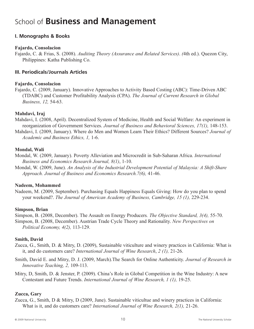## School of **Business and Management**

#### **I. Monographs & Books**

#### **Fajardo, Consolacion**

Fajardo, C. & Frias, S. (2008). *Auditing Theory (Assurance and Related Services)*. *(*4th ed.). Quezon City, Philippines: Katha Publishing Co.

#### **III. Periodicals/Journals Articles**

#### **Fajardo, Consolacion**

Fajardo, C. (2009, January). Innovative Approaches to Activity Based Costing (ABC): Time-Driven ABC (TDABC) and Customer Profitability Analysis (CPA). *The Journal of Current Research in Global Business, 12,* 54-63.

#### **Mahdavi, Iraj**

Mahdavi, I. (2008, April). Decentralized System of Medicine, Health and Social Welfare: An experiment in reorganization of Government Services. *Journal of Business and Behavioral Sciences, 17(1),* 148-153.

Mahdavi, I. (2009, January). Where do Men and Women Learn Their Ethics? Different Sources? *Journal of Academic and Business Ethics, 1,* 1-6.

#### **Mondal, Wali**

Mondal, W. (2009, January). Poverty Alleviation and Microcredit in Sub-Saharan Africa. *International Business and Economics Research Journal, 8(1)*, 1-10.

Mondal, W. (2009, June). *An Analysis of the Industrial Development Potential of Malaysia: A Shift-Share Approach. Journal of Business and Economics Research.7(6),* 41-46.

#### **Nadeem, Mohammed**

Nadeem, M. (2009, September). Purchasing Equals Happiness Equals Giving: How do you plan to spend your weekend?. *The Journal of American Academy of Business, Cambridge, 15 (1),* 229-234.

#### **Simpson, Brian**

Simpson, B. (2008, December). The Assault on Energy Producers*. The Objective Standard, 3(4),* 55-70. Simpson, B. (2008, December). Austrian Trade Cycle Theory and Rationality. *New Perspectives on Political Economy, 4(2),* 113-129.

#### **Smith, David**

- Zucca, G., Smith, D. & Mitry, D. (2009), Sustainable viticulture and winery practices in California: What is it, and do customers care? *International Journal of Wine Research*, *2 (1),* 21-26.
- Smith, David E. and Mitry, D. J. (2009, March).The Search for Online Authenticity. *Journal of Research in Innovative Teaching, 2,* 109-113.
- Mitry, D, Smith, D. & Jenster, P. (2009). China's Role in Global Competition in the Wine Industry: A new Contestant and Future Trends. *International Journal of Wine Research, 1 (1),* 19-25.

#### **Zucca, Gary**

Zucca, G., Smith, D & Mitry, D (2009, June). Sustainable viticultue and winery practices in California: What is it, and do customers care? *International Journal of Wine Research, 2(1),* 21-26.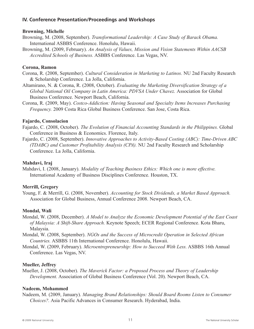#### **IV. Conference Presentation/Proceedings and Workshops**

#### **Browning, Michelle**

Browning, M. (2008, September). *Transformational Leadership: A Case Study of Barack Obama.* International ASBBS Conference. Honolulu, Hawaii.

Browning, M. (2009, February). *An Analysis of Values, Mission and Vision Statements Within AACSB Accredited Schools of Business.* ASBBS Conference. Las Vegas, NV.

#### **Corona, Ramon**

Corona, R. (2008, September). *Cultural Consideration in Marketing to Latinos.* NU 2nd Faculty Research & Scholarship Conference. La Jolla, California.

Altamirano, N. & Corona, R. (2008, October). *Evaluating the Marketing Diversification Strategy of a Global National Oil Company in Latin America: PDVSA Under Chavez. Association for Global* Business Conference. Newport Beach, California.

Corona, R. (2009, May). *Costco-Addiction: Having Seasonal and Specialty Items Increases Purchasing Frequency.* 2009 Costa Rica Global Business Conference. San Jose, Costa Rica.

#### **Fajardo, Consolacion**

Fajardo, C. (2008, October). *The Evolution of Financial Accounting Standards in the Philippines.* Global Conference in Business & Economics. Florence, Italy.

Fajardo, C. (2008, September). *Innovative Approaches to Activity-Based Costing (ABC): Time-Driven ABC (TDABC) and Customer Profitability Analysis (CPA).* NU 2nd Faculty Research and Scholarship Conference. La Jolla, California.

#### **Mahdavi, Iraj**

Mahdavi, I. (2008, January). *Modality of Teaching Business Ethics: Which one is more effective.* International Academy of Business Disciplines Conference. Houston, TX.

#### **Merrill, Gregory**

Young, F. & Merrill, G. (2008, November). *Accounting for Stock Dividends, a Market Based Approach.* Association for Global Business, Annual Conference 2008. Newport Beach, CA.

#### **Mondal, Wali**

Mondal, W. (2008, December). *A Model to Analyze the Economic Development Potential of the East Coast of Malaysia: A Shift-Share Approach.* Keynote Speech; ECER Regional Conference. Kota Bharu, Malaysia.

Mondal, W. (2008, September). *NGOs and the Success of Microcredit Operation in Selected African Countries.* ASBBS 11th International Conference. Honolulu, Hawaii.

Mondal, W. (2009, February). *Microentrepreneurship: How to Succeed With Less.* ASBBS 16th Annual Conference. Las Vegas, NV.

#### **Mueller, Jeffrey**

Mueller, J. (2008, October). *The Maverick Factor: a Proposed Process and Theory of Leadership Development.* Association of Global Business Conference (Vol. 20). Newport Beach, CA.

#### **Nadeem, Mohammed**

Nadeem, M. (2009, January). *Managing Brand Relationships: Should Board Rooms Listen to Consumer Choices?.* Asia Pacific Advances in Consumer Research. Hyderabad, India.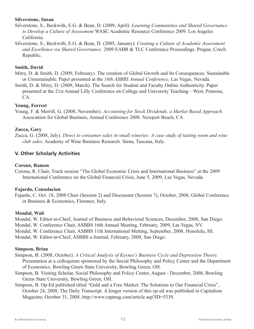#### **Silverstone, Susan**

- Silverstone, S., Beckwith, E.G. & Bean, D. (2009, April). *Learning Communities and Shared Governance to Develop a Culture of Assessment* WASC Academic Resource Conference 2009. Los Angeles California.
- Silverstone, S., Beckwith, E.G. & Bean, D. (2005, January). *Creating a Culture of Academic Assessment and Excellence via Shared Governance.* 2009 EABR & TLC Conference Proceedings. Prague, Czech Republic.

#### **Smith, David**

- Mitry, D. & Smith, D. (2009, February). The creation of Global Growth and Its Consequences: Sustainable or Unsustainable. Paper presented at the *16th ASBBS Annual Conference,* Las Vegas, Nevada.
- Smith, D. & Mitry, D. (2009, March). The Search for Student and Faculty Online Authenticity. Paper presented at the 21st Annual Lilly Conference on College and University Teaching—West, Pomona, CA.

#### **Young, Forrest**

Young, F. & Merrill, G. (2008, November). *Accounting for Stock Dividends, a Market Based Approach.* Association for Global Business, Annual Conference 2008. Newport Beach, CA

#### **Zucca, Gary**

Zucca, G. (2008, July). *Direct to consumer sales in small wineries: A case study of tasting room and wine club sales.* Academy of Wine Business Research. Siena, Tuscana, Italy.

#### **V. Other Scholarly Activities**

#### **Corona, Ramon**

Corona, R. Chair, Track session "The Global Economic Crisis and International Business" at the 2009 International Conference on the Global Financial Crisis, June 5, 2009, Las Vegas, Nevada.

#### **Fajardo, Consolacion**

Fajardo, C. Oct. 18, 2008 Chair (Session 2) and Discussant (Session 7), October, 2008, Global Conference in Business & Economics, Florence, Italy.

#### **Mondal, Wali**

Mondal, W. Editor-in-Chief, Journal of Business and Behavioral Sciences, December, 2008, San Diego.

Mondal, W. Conference Chair, ASBBS 16th Annual Meeting, February, 2009, Las Vegas, NV.

Mondal, W. Conference Chair, ASBBS 11th International Metting, September, 2008, Honolulu, HI.

Mondal, W. Editor-in-Chief, ASBBS e-Journal, February, 2009, San Diego.

#### **Simpson, Brian**

Simpson, B. (2008, October). *A Critical Analysis of Keynes's Business Cycle and Depression Theory.* Presentation at a colloquium sponsored by the Social Philosophy and Policy Center and the Department of Economics. Bowling Green State University, Bowling Green, OH.

- Simpson, B. Visiting Scholar, Social Philosophy and Policy Center, August December, 2008, Bowling Green State University, Bowling Green, OH.
- Simpson, B. Op-Ed published titled "Gold and a Free Market: The Solutions to Our Financial Crisis", October 24, 2008, The Daily Transcript. A longer version of this op-ed was published in Capitalism Magazine, October 31, 2008, http://www.capmag.com/article.asp?ID=5339.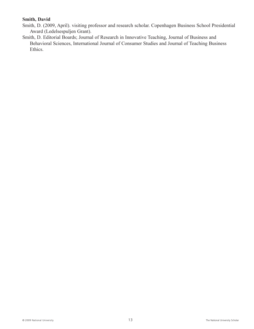#### **Smith, David**

- Smith, D. (2009, April). visiting professor and research scholar. Copenhagen Business School Presidential Award (Ledelsespuljen Grant).
- Smith, D. Editorial Boards; Journal of Research in Innovative Teaching, Journal of Business and Behavioral Sciences, International Journal of Consumer Studies and Journal of Teaching Business Ethics.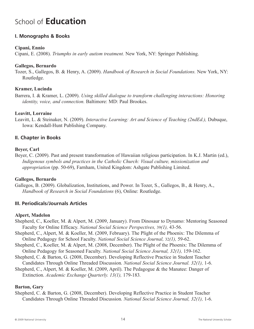## School of **Education**

#### **I. Monographs & Books**

#### **Cipani, Ennio**

Cipani, E. (2008). *Triumphs in early autism treatment.* New York, NY: Springer Publishing.

#### **Gallegos, Bernardo**

Tozer, S., Gallegos, B. & Henry, A. (2009). *Handbook of Research in Social Foundations.* New York, NY: Routledge.

#### **Kramer, Lucinda**

Barrera, I. & Kramer, L. (2009). *Using skilled dialogue to transform challenging interactions: Honoring identity, voice, and connection.* Baltimore: MD: Paul Brookes.

#### **Leavitt, Lorraine**

Leavitt, L. & Steinaker, N. (2009). *Interactive Learning: Art and Science of Teaching (2ndEd.),* Dubuque, Iowa: Kendall-Hunt Publishing Company.

#### **II. Chapter in Books**

#### **Beyer, Carl**

Beyer, C. (2009). Past and present transformation of Hawaiian religious participation. In K.J. Martin (ed.), *Indigenous symbols and practices in the Catholic Church: Visual culture, missionization and appropriation* (pp. 50-69), Farnham, United Kingdom: Ashgate Publishing Limited.

#### **Gallegos, Bernardo**

Gallegos, B. (2009). Globalization, Institutions, and Power. In Tozer, S., Gallegos, B., & Henry, A., *Handbook of Research in Social Foundations* (6), Online: Routledge.

#### **III. Periodicals/Journals Articles**

#### **Alpert, Madelon**

- Shepherd, C., Koeller, M. & Alpert, M. (2009, January). From Dinosaur to Dynamo: Mentoring Seasoned Faculty for Online Efficacy. *National Social Science Perspectives,* 39*(1),* 43-56.
- Shepherd, C., Alpert, M. & Koeller, M. (2009, February). The Plight of the Phoenix: The Dilemma of Online Pedagogy for School Faculty. *National Social Science Journal,* 32*(1),* 59-62.
- Shepherd, C., Koeller, M. & Alpert, M. (2008, December). The Plight of the Phoenix: The Dilemma of Online Pedagogy for Seasoned Faculty. *National Social Science Journal, 32(1),* 159-162.
- Shepherd, C. & Barton, G. (2008, December). Developing Reflective Practice in Student Teacher
- Candidates Through Online Threaded Discussion*. National Social Science Journal. 32(1),* 1-6.
- Shepherd, C., Alpert, M. & Koeller, M. (2009, April). The Pedagogue & the Manatee: Danger of Extinction. *Academic Exchange Quarterly. 13(1),* 179-183*.*

#### **Barton, Gary**

Shepherd, C. & Barton, G. (2008, December). Developing Reflective Practice in Student Teacher Candidates Through Online Threaded Discussion*. National Social Science Journal, 32(1),* 1-6.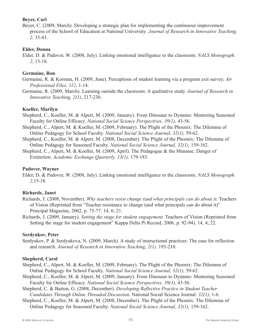#### **Beyer, Carl**

Beyer, C. (2009, March). Developing a strategic plan for implementing the continuous improvement process of the School of Education at National University*. Journal of Research in Innovative Teaching, 2,* 35-43.

#### **Elder, Donna**

Elder, D. & Padover, W. (2008, July). Linking emotional intelligence to the classroom. *NALS Monograph. 2*, 15-18.

#### **Germaine, Ron**

- Germaine, R. & Kornuta, H. (2009, June). Perceptions of student learning via a program exit survey. *Air Professional Files, 112*, 1-14.
- Germaine, R. (2009, March). Learning outside the classroom: A qualitative study. *Journal of Research in Innovative Teaching, 2(1)*, 217-230.

#### **Koeller, Marilyn**

- Shepherd, C., Koeller, M. & Alpert, M. (2009, January). From Dinosaur to Dynamo: Mentoring Seasoned Faculty for Online Efficacy. *National Social Science Perspectives, 39(1),* 43-56.
- Shepherd, C., Alpert, M. & Koeller, M. (2009, February). The Plight of the Phoenix: The Dilemma of Online Pedagogy for School Faculty. *National Social Science Journal, 32(1),* 59-62.
- Shepherd, C., Koeller, M. & Alpert, M. (2008, December). The Plight of the Phoenix: The Dilemma of Online Pedagogy for Seasoned Faculty. *National Social Science Journal, 32(1),* 159-162.
- Shepherd, C., Alpert, M. & Koeller, M. (2009, April). The Pedagogue & the Manatee: Danger of Extinction. *Academic Exchange Quarterly, 13(1),* 179-183*.*

#### **Padover, Wayner**

Elder, D. & Padover, W. (2008, July). Linking emotional intelligence to the classroom. *NALS Monograph. 2,*15-18.

#### **Richards, Janet**

- Richards, J. (2008, November). *Why teachers resist change (and what principals can do about it.* Teachers of Vision (Reprinted from "Teacher resistance to change (and what principals can do about it)" Principal Magazine, 2002, p. 75-77. 14, 6; 21.
- Richards, J. (2009, January). *Setting the stage for student engagement.* Teachers of Vision (Reprinted from Setting the stage for student engagement" Kappa Delta Pi Record, 2006, p. 92-94). 14, 4; 22.

#### **Serdyukov, Peter**

Serdyukov, P. & Serdyukova, N. (2009, March). A study of instructional practices: The case for reflection and research. *Journal of Research in Innovative Teaching, 2(1),* 193-210.

#### **Shepherd, Carol**

- Shepherd, C., Alpert, M. & Koeller, M. (2009, February). The Plight of the Phoenix: The Dilemma of Online Pedagogy for School Faculty. *National Social Science Journal, 32(1),* 59-62.
- Shepherd, C., Koeller, M. & Alpert, M. (2009, January). From Dinosaur to Dynamo: Mentoring Seasoned Faculty for Online Efficacy. *National Social Science Perspectives. 39(1),* 43-56.
- Shepherd, C. & Barton, G. (2008, December). *Developing Reflective Practice in Student Teacher Candidates Through Online Threaded Discussion.* National Social Science Journal. *32(1)*, 1-6.
- Shepherd, C., Koeller, M. & Alpert, M. (2008, December). The Plight of the Phoenix: The Dilemma of Online Pedagogy for Seasoned Faculty. *National Social Science Journal, 32(1),* 159-162.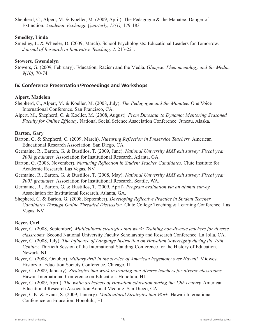Shepherd, C., Alpert, M. & Koeller, M. (2009, April). The Pedagogue & the Manatee: Danger of Extinction. *Academic Exchange Quarterly, 13(1),* 179-183*.*

#### **Smedley, Linda**

Smedley, L. & Wheeler, D. (2009, March). School Psychologists: Educational Leaders for Tomorrow. *Journal of Research in Innovative Teaching, 2,* 213-221.

#### **Stowers, Gwendolyn**

Stowers, G. (2009, February). Education, Racism and the Media. *Glimpse: Phenomenology and the Media, 9(10)*, 70-74.

#### **IV. Conference Presentation/Proceedings and Workshops**

#### **Alpert, Madelon**

- Shepherd, C., Alpert, M. & Koeller, M. (2008, July). *The Pedagogue and the Manatee.* One Voice International Conference. San Francisco, CA.
- Alpert, M., Shepherd, C. & Koeller, M. (2008, August). *From Dinosaur to Dynamo: Mentoring Seasoned Faculty for Online Efficacy.* National Social Science Association Conference. Juneau, Alaska.

#### **Barton, Gary**

- Barton, G. & Shepherd, C. (2009, March). *Nurturing Reflection in Preservice Teachers.* American Educational Research Association. San Diego, CA.
- Germaine, R., Barton, G. & Bustillos, T. (2009, June). *National University MAT exit survey: Fiscal year 2008 graduates.* Association for Institutional Research. Atlanta, GA.
- Barton, G. (2008, November). *Nurturing Reflection in Student Teacher Candidates.* Clute Institute for Academic Research. Las Vegas, NV.
- Germaine, R., Barton, G. & Bustillos, T. (2008, May). *National University MAT exit survey: Fiscal year 2007 graduates.* Association for Institutional Research. Seattle, WA.
- Germaine, R., Barton, G. & Bustillos, T. (2009, April). *Program evaluation via an alumni survey.* Association for Institutional Research. Atlanta, GA.
- Shepherd, C. & Barton, G. (2008, September). *Developing Reflective Practice in Student Teacher Candidates Through Online Threaded Discussion.* Clute College Teaching & Learning Conference. Las Vegas, NV.

#### **Beyer, Carl**

- Beyer, C. (2008, September). *Multicultural strategies that work: Training non-diverse teachers for diverse classrooms.* Second National University Faculty Scholarship and Research Conference. La Jolla, CA.
- Beyer, C. (2008, July). *The Influence of Language Instruction on Hawaiian Sovereignty during the 19th Century.* Thirtieth Session of the International Standing Conference for the History of Education. Newark, NJ.
- Beyer, C. (2008, October). *Military drill in the service of American hegemony over Hawaii.* Midwest History of Education Society Conference. Chicago, IL.
- Beyer, C. (2009, January). *Strategies that work in training non-diverse teachers for diverse classrooms.* Hawaii International Conference on Education. Honolulu, HI.
- Beyer, C. (2009, April). *The white archetects of Hawaiian education during the 19th century.* American Educational Research Association Annual Meeting. San Diego, CA.
- Beyer, C.K. & Evans, S. (2009, January). *Multicultural Strategies that Work.* Hawaii International Conference on Education. Honolulu, HI.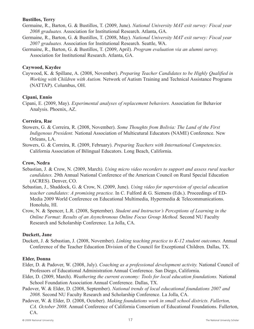#### **Bustillos, Terry**

- Germaine, R., Barton, G. & Bustillos, T. (2009, June). *National University MAT exit survey: Fiscal year 2008 graduates.* Association for Institutional Research. Atlanta, GA.
- Germaine, R., Barton, G. & Bustillos, T. (2008, May). *National University MAT exit survey: Fiscal year 2007 graduates.* Association for Institutional Research. Seattle, WA.
- Germaine, R., Barton, G. & Bustillos, T. (2009, April). *Program evaluation via an alumni survey.* Association for Institutional Research. Atlanta, GA.

#### **Caywood, Kaydee**

Caywood, K. & Spillane, A. (2008, November). *Preparing Teacher Candidates to be Highly Qualified in Working with Children with Autism.* Network of Autism Training and Technical Assistance Programs (NATTAP). Columbus, OH.

#### **Cipani, Ennio**

Cipani, E. (2009, May). *Experimental analyses of replacement behaviors.* Association for Behavior Analysis. Phoenix, AZ.

#### **Correira, Rae**

- Stowers, G. & Correira, R. (2008, November). *Some Thoughts from Bolivia: The Land of the First Indigenous President.* National Association of Multicutural Educators (NAME) Conference. New Orleans, LA.
- Stowers, G. & Correira, R. (2009, February). *Preparing Teachers with International Competencies.* California Association of Bilingual Educators. Long Beach, California.

#### **Crow, Nedra**

- Sebastian, J. & Crow, N. (2009, March). *Using micro video recorders to support and assess rural teacher candidates.* 29th Annual National Conference of the American Council on Rural Special Education (ACRES). Denver, CO.
- Sebastian, J., Shaddock, G. & Crow, N. (2009, June). *Using video for supervision of special education teacher candidates: A promising practice.* In C. Fulford & G. Siemens (Eds.). Proceedings of ED-Media 2009 World Conference on Educational Multimedia, Hypermedia & Telecommunications. Honolulu, HI.
- Crow, N. & Spencer, L.R. (2008, September). *Student and Instructor's Perceptions of Learning in the Online Format: Results of an Asynchronous Online Focus Group Method.* Second NU Faculty Research and Scholarship Conference. La Jolla, CA.

#### **Duckett, Jane**

Duckett, J. & Sebastian, J. (2008, November). *Linking teaching practice to K-12 student outcomes.* Annual Conference of the Teacher Education Division of the Council for Exceptional Children. Dallas, TX.

#### **Elder, Donna**

- Elder, D. & Padover, W. (2008, July). *Coaching as a professional development activity.* National Council of Professors of Educational Administration Annual Conference. San Diego, California.
- Elder, D. (2009, March). *Weathering the current economy: Tools for local education foundations.* National School Foundation Association Annual Conference. Dallas, TX.
- Padover, W. & Elder, D. (2008, September). *National trends of local educational foundations 2007 and 2008.* Second NU Faculty Research and Scholarship Conference. La Jolla, CA.
- Padover, W. & Elder, D. (2008, October). *Making foundations work in small school districts. Fullerton, CA. October 2008.* Annual Conference of California Consortium of Educational Foundations. Fullerton, CA.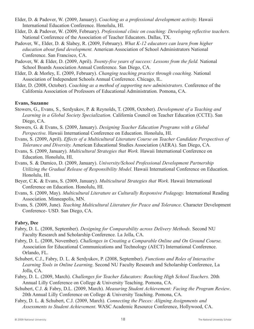- Elder, D. & Padover, W. (2009, January). *Coaching as a professional development activity.* Hawaii International Education Conference. Honolulu, HI.
- Elder, D. & Padover, W. (2009, February). *Professional clinic on coaching: Developing reflective teachers.* National Conference of the Association of Teacher Educators. Dallas, TX.
- Padover, W., Elder, D. & Slabey, R. (2009, February). *What K-12 educators can learn from higher education about fund development.* American Association of School Administrators National Conference. San Francisco, CA.
- Padover, W. & Elder, D. (2009, April). *Twenty-five years of success: Lessons from the field.* National School Boards Association Annual Conference. San Diego, CA.
- Elder, D. & Morley, E. (2009, February). *Changing teaching practice through coaching.* National Association of Independent Schools Annual Conference. Chicago, IL.
- Elder, D. (2008, October). *Coaching as a method of supporting new administrators.* Conference of the California Association of Professors of Educational Administration. Pomona, CA.

#### **Evans, Suzanne**

- Stowers, G., Evans, S., Serdyukov, P. & Reynolds, T. (2008, October). *Development of a Teaching and Learning in a Global Society Specialization.* California Council on Teacher Education (CCTE). San Diego, CA.
- Stowers, G. & Evans, S. (2009, January). *Designing Teacher Education Programs with a Global Perspective.* Hawaii International Conference on Education. Honolulu, HI.
- Evans, S. (2009, April). *Effects of a Multicultural Literature Course on Teacher Candidate Perspectives of Tolerance and Diversity.* American Educational Studies Association (AERA). San Diego, CA.
- Evans, S. (2009, January). *Multicultural Strategies that Work.* Hawaii International Conference on Education. Honolulu, HI.
- Evans, S. & Damico, D. (2009, January). *University/School Professional Development Partnership Utilizing the Gradual Release of Responsibility Model.* Hawaii International Conference on Education. Honolulu, HI.
- Beyer, C.K. & Evans, S. (2009, January). *Multicultural Strategies that Work.* Hawaii International Conference on Education. Honolulu, HI.
- Evans, S. (2009, May). *Multicultural Literature as Culturally Responsive Pedagogy.* International Reading Association. Minneapolis, MN.
- Evans, S. (2009, June). *Teaching Multicultural Literature for Peace and Tolerance.* Character Development Conference- USD. San Diego, CA.

#### **Fabry, Dee**

- Fabry, D. L. (2008, September). *Designing for Comparability across Delivery Methods.* Second NU Faculty Research and Scholarship Conference. La Jolla, CA.
- Fabry, D. L. (2008, November). *Challenges in Creating a Comparable Online and On Ground Course.* Association for Educational Communications and Technology (AECT) International Conference. Orlando, FL.
- Schubert, C.J., Fabry, D. L. & Serdyukov, P. (2008, September). *Functions and Roles of Interactive Learning Tools in Online Learning*. Second NU Faculty Research and Scholarship Conference, La Jolla, CA.
- Fabry, D. L. (2009, March). *Challenges for Teacher Educators: Reaching High School Teachers.* 20th Annual Lilly Conference on College & University Teaching. Pomona, CA.
- Schubert, C.J. & Fabry, D.L. (2009, March). *Measuring Student Achievement: Facing the Program Review*. 20th Annual Lilly Conference on College & University Teaching. Pomona, CA.
- Fabry, D. L. & Schubert, C.J. (2009, March). *Connecting the Pieces: Aligning Assignments and Assessments to Student Achievement*. WASC Academic Resource Conference, Hollywood, CA.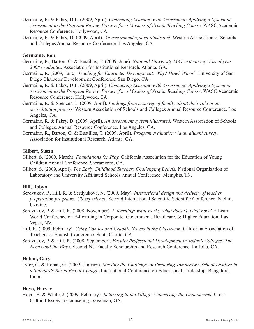- Germaine, R. & Fabry, D.L. (2009, April). *Connecting Learning with Assessment: Applying a System of Assessment to the Program Review Process for a Masters of Arts in Teaching Course*. WASC Academic Resource Conference. Hollywood, CA
- Germaine, R. & Fabry, D. (2009, April). *An assessment system illustrated.* Western Association of Schools and Colleges Annual Resource Conference. Los Angeles, CA.

#### **Germaine, Ron**

- Germaine, R., Barton, G. & Bustillos, T. (2009, June). *National University MAT exit survey: Fiscal year 2008 graduates.* Association for Institutional Research. Atlanta, GA.
- Germaine, R. (2009, June). *Teaching for Character Development: Why? How? When?.* University of San Diego Character Development Conference. San Diego, CA.
- Germaine, R. & Fabry, D.L. (2009, April). *Connecting Learning with Assessment: Applying a System of Assessment to the Program Review Process for a Masters of Arts in Teaching Course*. WASC Academic Resource Conference. Hollywood, CA
- Germaine, R. & Spencer, L. (2009, April). *Findings from a survey of faculty about their role in an accreditation process.* Western Association of Schools and Colleges Annual Resource Conference. Los Angeles, CA.
- Germaine, R. & Fabry, D. (2009, April). *An assessment system illustrated.* Western Association of Schools and Colleges, Annual Resource Conference. Los Angeles, CA.
- Germaine, R., Barton, G. & Bustillos, T. (2009, April). *Program evaluation via an alumni survey.* Association for Institutional Research. Atlanta, GA.

#### **Gilbert, Susan**

- Gilbert, S. (2009, March). *Foundations for Play.* California Association for the Education of Young Children Annual Conference. Sacramento, CA.
- Gilbert, S. (2009, April). *The Early Childhood Teacher: Challenging Beliefs.* National Organization of Laboratory and University Affiliated Schools Annual Conference. Memphis, TN.

#### **Hill, Robyn**

- Serdyukov, P., Hill, R. & Serdyukova, N. (2009, May). *Instructional design and delivery of teacher preparation programs: US experience.* Second International Scientific Scientific Conference. Nizhin, Ukraine.
- Serdyukov, P. & Hill, R. (2008, November). *E-learning: what works, what doesn't, what now?* E-Learn World Conference on E-Learning in Corporate, Government, Healthcare, & Higher Education. Las Vegas, NV.
- Hill, R. (2009, February). *Using Comics and Graphic Novels in the Classroom.* California Association of Teachers of English Conference. Santa Clarita, CA.
- Serdyukov, P. & Hill, R. (2008, September). *Faculty Professional Development in Today's Colleges: The Needs and the Ways.* Second NU Faculty Scholarship and Research Conference. La Jolla, CA.

#### **Hoban, Gary**

Tyler, C. & Hoban, G. (2009, January). *Meeting the Challenge of Preparing Tomorrow's School Leaders in a Standards Based Era of Change.* International Conference on Educational Leadership. Bangalore, India.

#### **Hoyo, Harvey**

Hoyo, H. & White, J. (2009, February). *Returning to the Village: Counseling the Underserved.* Cross Cultural Issues in Counseling. Savannah, GA.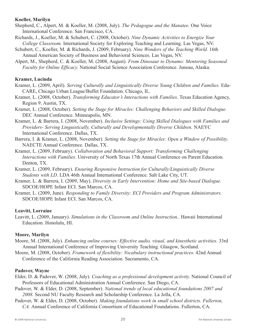#### **Koeller, Marilyn**

- Shepherd, C., Alpert, M. & Koeller, M. (2008, July). *The Pedagogue and the Manatee.* One Voice International Conference. San Francisco, CA.
- Richards, J., Koeller, M. & Schubert, C. (2008, October). *Nine Dynamic Activities to Energize Your College Classroom.* International Society for Exploring Teaching and Learning. Las Vegas, NV.
- Schubert, C., Koeller, M. & Richards, J. (2009, February). *Nine Wonders of the Teaching World.* 16th Annual American Society of Business and Behavioral Sciences. Las Vegas, NV.
- Alpert, M., Shepherd, C. & Koeller, M. (2008, August). *From Dinosaur to Dynamo: Mentoring Seasoned Faculty for Online Efficacy.* National Social Science Association Conference. Juneau, Alaska.

#### **Kramer, Lucinda**

- Kramer, L. (2009, April). *Serving Culturally and Linguistically Diverse Young Children and Families.* Edu-CARE, Chicago Urban League/Buffet Foundation. Chicago, IL.
- Kramer, L. (2008, October). *Transforming Educator's Interactions with Families.* Texas Education Agency, Region 9. Austin, TX.
- Kramer, L. (2008, October). *Setting the Stage for Miracles: Challenging Behaviors and Skilled Dialogue.* DEC Annual Conference. Minneapolis, MN.
- Kramer, L. & Barrera, I. (2008, November). *Inclusive Settings: Using Skilled Dialogues with Families and Providers- Serving Linguistically, Culturally and Developmentally Diverse Children.* NAEYC International Conference. Dallas, TX.
- Barrera, I. & Kramer, L. (2008, November). *Setting the Stage for Miracles: Open a Window of Possibility.* NAECTE Annual Conference. Dallas, TX.
- Kramer, L. (2009, February). *Collaboration and Behavioral Support: Transforming Challenging Interactions with Families.* University of North Texas 17th Annual Conference on Parent Education. Denton, TX.
- Kramer, L. (2009, February). *Ensuring Responsive Instruction for Culturally/Linguistically Diverse Students with LD.* LDA 46th Annual International Conference. Salt Lake City, UT.
- Kramer, L. & Barrera, I. (2009, May). *Diversity in Early Intervention: Home and Site-based Dialogue.* SDCOE/HOPE Infant ECI. San Marcos, CA.
- Kramer, L. (2009, June). *Responding to Family Diversity: ECI Providers and Program Administrators.* SDCOE/HOPE Infant ECI. San Marcos, CA.

#### **Leavitt, Lorraine**

Leavitt, L. (2009, January). *Simulations in the Classroom and Online Instruction..* Hawaii International Education. Honolulu, HI.

#### **Moore, Marilyn**

- Moore, M. (2008, July). *Enhancing online courses: Effective audio, visual, and kinesthetic activities.* 33rd Annual International Conference of Improving University Teaching. Glasgow, Scotland.
- Moore, M. (2008, October). *Framework of flexibility: Vocabulary instructional practices.* 42nd Annual Conference of the California Reading Association. Sacramento, CA.

#### **Padover, Wayne**

- Elder, D. & Padover, W. (2008, July). *Coaching as a professional development activity.* National Council of Professors of Educational Administration Annual Conference. San Diego, CA.
- Padover, W. & Elder, D. (2008, September). *National trends of local educational foundations 2007 and 2008.* Second NU Faculty Research and Scholarship Conference. La Jolla, CA.
- Padover, W. & Elder, D. (2008, October). *Making foundations work in small school districts. Fullerton, CA.* Annual Conference of California Consortium of Educational Foundations. Fullerton, CA.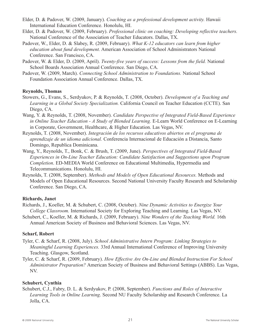- Elder, D. & Padover, W. (2009, January). *Coaching as a professional development activity.* Hawaii International Education Conference. Honolulu, HI.
- Elder, D. & Padover, W. (2009, February). *Professional clinic on coaching: Developing reflective teachers.* National Conference of the Association of Teacher Educators. Dallas, TX.
- Padover, W., Elder, D. & Slabey, R. (2009, February). *What K-12 educators can learn from higher education about fund development.* American Association of School Administrators National Conference. San Francisco, CA.
- Padover, W. & Elder, D. (2009, April). *Twenty-five years of success: Lessons from the field.* National School Boards Association Annual Conference. San Diego, CA.
- Padover, W. (2009, March). *Connecting School Administration to Foundations.* National School Foundation Association Annual Conference. Dallas, TX.

#### **Reynolds, Thomas**

- Stowers, G., Evans, S., Serdyukov, P. & Reynolds, T. (2008, October). *Development of a Teaching and Learning in a Global Society Specialization.* California Council on Teacher Education (CCTE). San Diego, CA.
- Wang, Y. & Reynolds, T. (2008, November). *Candidate Perspective of Integrated Field-Based Experience in Online Teacher Education - A Study of Blended Learning.* E-Learn World Conference on E-Learning in Corporate, Government, Healthcare, & Higher Education. Las Vegas, NV.
- Reynolds, T. (2008, November). *Integración de los recursos educativos abiertos en el programa de aprendizaje de un idioma adicional.* Conferencia Internacional de Educación a Distancia, Santo Domingo, Republica Dominicana.
- Wang, Y., Reynolds, T., Bonk, C. & Brush, T. (2009, June). *Perspectives of Integrated Field-Based Experiences in On-Line Teacher Education: Candidate Satisfaction and Suggestions upon Program Completion*. ED-MEDIA World Conference on Educational Multimedia, Hypermedia and Telecommunications. Honolulu, HI.
- Reynolds, T. (2008, September). *Methods and Models of Open Educational Resources.* Methods and Models of Open Educational Resources. Second National University Faculty Research and Scholarship Conference. San Diego, CA.

#### **Richards, Janet**

- Richards, J., Koeller, M. & Schubert, C. (2008, October). *Nine Dynamic Activities to Energize Your College Classroom.* International Society for Exploring Teaching and Learning. Las Vegas, NV.
- Schubert, C., Koeller, M. & Richards, J. (2009, February). *Nine Wonders of the Teaching World.* 16th Annual American Society of Business and Behavioral Sciences. Las Vegas, NV.

#### **Scharf, Robert**

- Tyler, C. & Scharf, R. (2008, July). *School Administrative Intern Program: Linking Strategies to Meaningful Learning Experiences.* 33rd Annual International Conference of Improving University Teaching. Glasgow, Scotland.
- Tyler, C. & Scharf, R. (2009, February). *How Effective Are On-Line and Blended Instruction For School Administrator Preparation?* American Society of Business and Behavioral Settings (ABBS). Las Vegas, NV.

#### **Schubert, Cynthia**

Schubert, C.J., Fabry, D. L. & Serdyukov, P. (2008, September). *Functions and Roles of Interactive Learning Tools in Online Learning*. Second NU Faculty Scholarship and Research Conference. La Jolla, CA.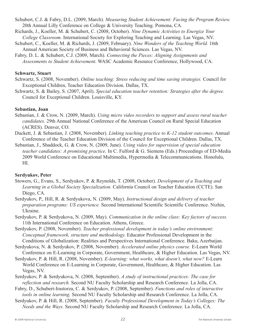- Schubert, C.J. & Fabry, D.L. (2009, March). *Measuring Student Achievement: Facing the Program Review.* 20th Annual Lilly Conference on College & University Teaching. Pomona, CA.
- Richards, J., Koeller, M. & Schubert, C. (2008, October). *Nine Dynamic Activities to Energize Your College Classroom.* International Society for Exploring Teaching and Learning. Las Vegas, NV.
- Schubert, C., Koeller, M. & Richards, J. (2009, February). *Nine Wonders of the Teaching World.* 16th Annual American Society of Business and Behavioral Sciences. Las Vegas, NV.
- Fabry, D. L. & Schubert, C.J. (2009, March). *Connecting the Pieces: Aligning Assignments and Assessments to Student Achievement*. WASC Academic Resource Conference, Hollywood, CA.

#### **Schwartz, Stuart**

- Schwartz, S. (2008, November). *Online teaching: Stress reducing and time saving strategies.* Council for Exceptional Children, Teacher Education Division. Dallas, TX.
- Schwartz, S. & Bailey, S. (2007, April). *Special education teacher retention: Strategies after the degree.* Council for Exceptional Children. Louisville, KY.

#### **Sebastian, Joan**

- Sebastian, J. & Crow, N. (2009, March). *Using micro video recorders to support and assess rural teacher candidates.* 29th Annual National Conference of the American Council on Rural Special Education (ACRES). Denver, CO.
- Duckett, J. & Sebastian, J. (2008, November). *Linking teaching practice to K-12 student outcomes.* Annual Conference of the Teacher Education Division of the Council for Exceptional Children. Dallas, TX.
- Sebastian, J., Shaddock, G. & Crow, N. (2009, June). *Using video for supervision of special education teacher candidates: A promising practice.* In C. Fulford & G. Siemens (Eds.) Proceedings of ED-Media 2009 World Conference on Educational Multimedia, Hypermedia & Telecommunications. Honolulu, HI.

#### **Serdyukov, Peter**

- Stowers, G., Evans, S., Serdyukov, P. & Reynolds, T. (2008, October). *Development of a Teaching and Learning in a Global Society Specialization.* California Council on Teacher Education (CCTE). San Diego, CA.
- Serdyukov, P., Hill, R. & Serdyukova, N. (2009, May). *Instructional design and delivery of teacher preparation programs: US experience.* Second International Scientific Scientific Conference. Nizhin, Ukraine.
- Serdyukov, P. & Serdyukova, N. (2009, May). *Communication in the online class: Key factors of success.* 11th International Conference on Education. Athens, Greece.
- Serdyukov, P. (2008, November). *Teacher professional development in today's online environment: Conceptual framework, structure and methodology.* Educator Professional Development in the Conditions of Globalization: Realities and Perspectives International Conference. Baku, Azerbaijan.
- Serdyukova, N. & Serdyukov, P. (2008, November). *Accelerated online physics course.* E-Learn World Conference on E-Learning in Corporate, Government, Healthcare, & Higher Education. Las Vegas, NV.
- Serdyukov, P. & Hill, R. (2008, November). *E-learning: what works, what doesn't, what now?* E-Learn World Conference on E-Learning in Corporate, Government, Healthcare, & Higher Education. Las Vegas, NV.
- Serdyukov, P. & Serdyukova, N. (2008, September). *A study of instructional practices: The case for reflection and research.* Second NU Faculty Scholarship and Research Conference. La Jolla, CA.
- Fabry, D., Schubert-Irastorza, C. & Serdyukov, P. (2008, September). *Functions and roles of interactive tools in online learning.* Second NU Faculty Scholarship and Research Conference. La Jolla, CA.
- Serdyukov, P. & Hill, R. (2008, September). *Faculty Professional Development in Today's Colleges: The Needs and the Ways.* Second NU Faculty Scholarship and Research Conference. La Jolla, CA.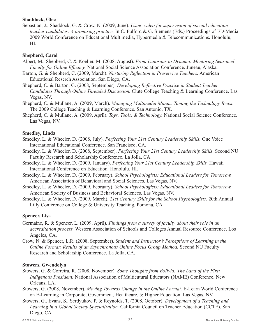#### **Shaddock, Glee**

Sebastian, J., Shaddock, G. & Crow, N. (2009, June). *Using video for supervision of special education teacher candidates: A promising practice.* In C. Fulford & G. Siemens (Eds.) Proceedings of ED-Media 2009 World Conference on Educational Multimedia, Hypermedia & Telecommunications. Honolulu, HI.

#### **Shepherd, Carol**

- Alpert, M., Shepherd, C. & Koeller, M. (2008, August). *From Dinosaur to Dynamo: Mentoring Seasoned Faculty for Online Efficacy.* National Social Science Association Conference. Juneau, Alaska.
- Barton, G. & Shepherd, C. (2009, March). *Nurturing Reflection in Preservice Teachers.* American Educational Reserch Association. San Diego, CA.
- Shepherd, C. & Barton, G. (2008, September). *Developing Reflective Practice in Student Teacher Candidates Through Online Threaded Discussion.* Clute College Teaching & Learning Conference. Las Vegas, NV.
- Shepherd, C. & Mullane, A. (2009, March). *Managing Multimedia Mania: Taming the Technology Beast.* The 2009 College Teaching & Learning Conference. San Antonio, TX.
- Shepherd, C. & Mullane, A. (2009, April). *Toys, Tools, & Technology.* National Social Science Conference. Las Vegas, NV.

#### **Smedley, Linda**

- Smedley, L. & Wheeler, D. (2008, July). *Perfecting Your 21st Century Leadership Skills.* One Voice International Educational Conference. San Francisco, CA.
- Smedley, L. & Wheeler, D. (2008, September). *Perfecting Your 21st Century Leadership Skills.* Second NU Faculty Research and Scholarship Conference. La Jolla, CA.
- Smedley, L. & Wheeler, D. (2009, January). *Perfecting Your 21st Century Leadership Skills.* Hawaii International Conference on Education. Honolulu, HI.
- Smedley, L. & Wheeler, D. (2009, February). *School Psychologists: Educational Leaders for Tomorrow.* American Association of Behavioral and Social Sciences. Las Vegas, NV.
- Smedley, L. & Wheeler, D. (2009, February). *School Psychologists: Educational Leaders for Tomorrow.* American Society of Business and Behavioral Sciences. Las Vegas, NV.
- Smedley, L. & Wheeler, D. (2009, March). *21st Century Skills for the School Psychologists.* 20th Annual Lilly Conference on College & University Teaching. Pomona, CA.

#### **Spencer, Lisa**

- Germaine, R. & Spencer, L. (2009, April). *Findings from a survey of faculty about their role in an accreditation process.* Western Association of Schools and Colleges Annual Resource Conference. Los Angeles, CA.
- Crow, N. & Spencer, L.R. (2008, September). *Student and Instructor's Perceptions of Learning in the Online Format: Results of an Asynchronous Online Focus Group Method.* Second NU Faculty Research and Scholarship Conference. La Jolla, CA.

#### **Stowers, Gwendolyn**

- Stowers, G. & Correira, R. (2008, November). *Some Thoughts from Bolivia: The Land of the First Indigenous President.* National Association of Multicutural Educators (NAME) Conference. New Orleans, LA.
- Stowers, G. (2008, November). *Moving Towards Change in the Online Format.* E-Learn World Conference on E-Learning in Corporate, Government, Healthcare, & Higher Education. Las Vegas, NV.
- Stowers, G., Evans, S., Serdyukov, P. & Reynolds, T. (2008, October). *Development of a Teaching and Learning in a Global Society Specialization.* California Council on Teacher Education (CCTE). San Diego, CA.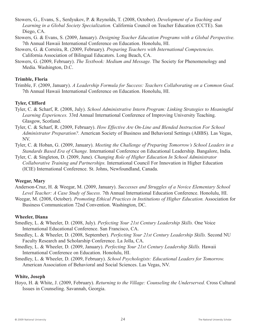- Stowers, G., Evans, S., Serdyukov, P. & Reynolds, T. (2008, October). *Development of a Teaching and Learning in a Global Society Specialization.* California Council on Teacher Education (CCTE). San Diego, CA.
- Stowers, G. & Evans, S. (2009, January). *Designing Teacher Education Programs with a Global Perspective.* 7th Annual Hawaii International Conference on Education. Honolulu, HI.
- Stowers, G. & Correira, R. (2009, February). *Preparing Teachers with International Competencies.* California Association of Bilingual Educators. Long Beach, CA.
- Stowers, G. (2009, February). *The Textbook: Medium and Message.* The Society for Phenomenology and Media. Washington, D.C.

#### **Trimble, Floria**

Trimble, F. (2009, January). *A Leadership Formula for Success: Teachers Collaborating on a Common Goal.* 7th Annual Hawaii International Conference on Education. Honolulu, HI.

#### **Tyler, Clifford**

- Tyler, C. & Scharf, R. (2008, July). *School Administrative Intern Program: Linking Strategies to Meaningful Learning Experiences.* 33rd Annual International Conference of Improving University Teaching. Glasgow, Scotland.
- Tyler, C. & Scharf, R. (2009, February). *How Effective Are On-Line and Blended Instruction For School Administrator Preparation?.* American Society of Business and Behavioral Settings (ABBS). Las Vegas, NV.
- Tyler, C. & Hoban, G. (2009, January). *Meeting the Challenge of Preparing Tomorrow's School Leaders in a Standards Based Era of Change.* International Conference on Educational Leadership. Bangalore, India.
- Tyler, C. & Singleton, D. (2009, June). *Changing Role of Higher Education In School Administrator Collaborative Training and Partnerships.* International Council For Innovation in Higher Education (ICIE) International Conference. St. Johns, Newfoundland, Canada.

#### **Weegar, Mary**

- Anderson-Cruz, H. & Weegar, M. (2009, January). *Successes and Struggles of a Novice Elementary School Level Teacher: A Case Study of Sucess.* 7th Annual International Education Conference. Honolulu, HI.
- Weegar, M. (2008, October). *Promoting Ethical Practices in Institutions of Higher Education.* Association for Business Communication 72nd Convention. Washington, DC.

#### **Wheeler, Diana**

- Smedley, L. & Wheeler, D. (2008, July). *Perfecting Your 21st Century Leadership Skills.* One Voice International Educational Conference. San Francisco, CA.
- Smedley, L. & Wheeler, D. (2008, September). *Perfecting Your 21st Century Leadership Skills.* Second NU Faculty Research and Scholarship Conference. La Jolla, CA.
- Smedley, L. & Wheeler, D. (2009, January). *Perfecting Your 21st Century Leadership Skills.* Hawaii International Conference on Education. Honolulu, HI.
- Smedley, L. & Wheeler, D. (2009, February). *School Psychologists: Educational Leaders for Tomorrow.* American Association of Behavioral and Social Sciences. Las Vegas, NV.

#### **White, Joseph**

Hoyo, H. & White, J. (2009, February). *Returning to the Village: Counseling the Underserved.* Cross Cultural Issues in Counseling. Savannah, Georgia.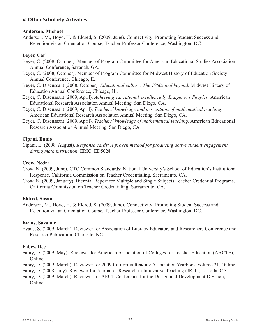#### **V. Other Scholarly Activities**

#### **Anderson, Michael**

Anderson, M., Hoyo, H. & Eldred, S. (2009, June). Connectivity: Promoting Student Success and Retention via an Orientation Course, Teacher-Professor Conference, Washington, DC.

#### **Beyer, Carl**

- Beyer, C. (2008, October). Member of Program Committee for American Educational Studies Association Annual Conference, Savanah, GA.
- Beyer, C. (2008, October). Member of Program Committee for Midwest History of Education Society Annual Conference, Chicago, IL.
- Beyer, C. Discussant (2008, October). *Educational culture: The 1960s and beyond*. Midwest History of Education Annual Conference, Chicago, IL.
- Beyer, C. Discussant (2009, April). *Achieving educational excellence by Indigenous Peoples.* American Educational Research Association Annual Meeting, San Diego, CA.
- Beyer, C. Discussant (2009, April). *Teachers' knowledge and perceptions of mathematical teaching*. American Educational Research Association Annual Meeting, San Diego, CA.
- Beyer, C. Discussant (2009, April). *Teachers' knowledge of mathematical teaching*. American Educational Research Association Annual Meeting, San Diego, CA.

#### **Cipani, Ennio**

Cipani, E. (2008, August). *Response cards: A proven method for producing active student engagement during math instruction.* ERIC. ED5028

#### **Crow, Nedra**

- Crow, N. (2009, June). CTC Common Standards: National University's School of Education's Institutional Response. California Commission on Teacher Credentialing. Sacramento, CA.
- Crow, N. (2009, January). Biennial Report for Multiple and Single Subjects Teacher Credential Programs. California Commission on Teacher Credentialing. Sacramento, CA.

#### **Eldred, Susan**

Anderson, M., Hoyo, H. & Eldred, S. (2009, June). Connectivity: Promoting Student Success and Retention via an Orientation Course, Teacher-Professor Conference, Washington, DC.

#### **Evans, Suzanne**

Evans, S. (2009, March). Reviewer for Association of Literacy Educators and Researchers Conference and Research Publication, Charlotte, NC.

#### **Fabry, Dee**

Fabry, D. (2009, May). Reviewer for American Association of Colleges for Teacher Education (AACTE), Online.

Fabry, D. (2009, March). Reviewer for 2009 California Reading Association Yearbook Volume 31, Online.

Fabry, D. (2008, July). Reviewer for Journal of Research in Innovative Teaching (JRIT), La Jolla, CA.

Fabry, D. (2009, March). Reviewer for AECT Conference for the Design and Development Division, Online.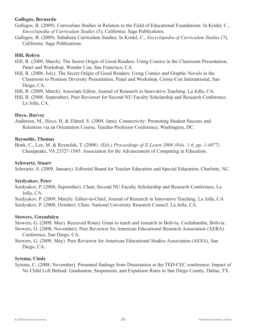#### **Gallegos, Bernardo**

- Gallegos, B. (2009). Curriculum Studies in Relation to the Field of Educational Foundations. In Kridel, C., *Encyclopedia of Curriculum Studies* (5), California: Sage Publications.
- Gallegos, B. (2009). Subaltern Curriculum Studies. In Kridel, C., *Encyclopedia of Curriculum Studies* (7), California: Sage Publications.

#### **Hill, Robyn**

- Hill, R. (2009, March). The Secret Origin of Good Readers: Using Comics in the Classroom Presentation, Panel and Workshop, Wonder Con, San Francisco, CA.
- Hill, R. (2008, July). The Secret Origin of Good Readers: Using Comics and Graphic Novels in the Classroom to Promote Diversity Presentation, Panel and Workshop, Comic-Con International, San Diego, CA.
- Hill, R. (2009, March). Associate Editor, Journal of Research in Innovative Teaching. La Jolla, CA.
- Hill, R. (2008, September). Peer Reviewer for Second NU Faculty Scholarship and Research Conference. La Jolla, CA.

#### **Hoyo, Harvey**

Anderson, M., Hoyo, H. & Eldred, S. (2009, June). Connectivity: Promoting Student Success and Retention via an Orientation Course, Teacher-Professor Conference, Washington, DC.

#### **Reynolds, Thomas**

Bonk, C., Lee, M. & Reynolds, T. (2008). *(Eds.) Proceedings of E-Learn 2008 (Vols. 1-6, pp. 1-4077).* Chesapeake, VA 23327-1545: Association for the Advancement of Computing in Education.

#### **Schwartz, Stuart**

Schwartz, S. (2009, January). Editorial Board for Teacher Education and Special Education, Charlotte, NC.

#### **Serdyukov, Peter**

Serdyukov, P. (2008, September). Chair, Second NU Faculty Scholarship and Research Conference, La Jolla, CA.

Serdyukov, P. (2009, March). Editor-in-Chief, Journal of Research in Innovative Teaching. La Jolla, CA. Serdyukov, P. (2008, October). Chair, National University Research Council. La Jolla, CA.

#### **Stowers, Gwendolyn**

Stowers, G. (2009, May). Received Rotary Grant to teach and research in Bolivia, Cochabamba, Bolivia.

Stowers, G. (2008, November). Peer Reviewer for American Educational Research Association (AERA) Conference, San Diego, CA.

Stowers, G. (2009, May). Peer Reviewer for American Educational Studies Association (AESA), San Diego, CA.

#### **Sytsma, Cindy**

Sytsma, C. (2008, November). Presented findings from Dissertation at the TED-CEC conference: Impact of No Child Left Behind: Graduation, Suspension, and Expulsion Rates in San Diego County, Dallas, TX.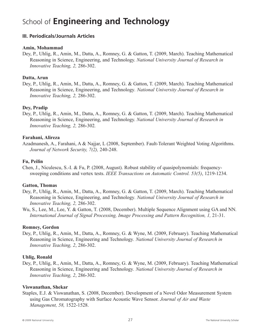## School of **Engineering and Technology**

#### **III. Periodicals/Journals Articles**

#### **Amin, Mohammad**

Dey, P., Uhlig, R., Amin, M., Datta, A., Romney, G. & Gatton, T. (2009, March). Teaching Mathematical Reasoning in Science, Engineering, and Technology. *National University Journal of Research in Innovative Teaching, 2,* 286-302.

#### **Datta, Arun**

Dey, P., Uhlig, R., Amin, M., Datta, A., Romney, G. & Gatton, T. (2009, March). Teaching Mathematical Reasoning in Science, Engineering, and Technology*. National University Journal of Research in Innovative Teaching, 2,* 286-302.

#### **Dey, Pradip**

Dey, P., Uhlig, R., Amin, M., Datta, A., Romney, G. & Gatton, T. (2009, March). Teaching Mathematical Reasoning in Science, Engineering, and Technology. *National University Journal of Research in Innovative Teaching, 2,* 286-302*.*

#### **Farahani, Alireza**

Azadmanesh, A., Farahani, A & Najjar, L (2008, September). Fault-Tolerant Weighted Voting Algorithms. *Journal of Network Security, 7(2),* 240-248.

#### **Fu, Peilin**

Chen, J., Niculescu, S.-I. & Fu, P. (2008, August). Robust stability of quasipolynomials: frequencysweeping conditions and vertex tests. *IEEE Transactions on Automatic Control. 53(5)*, 1219-1234.

#### **Gatton, Thomas**

- Dey, P., Uhlig, R., Amin, M., Datta, A., Romney, G. & Gatton, T. (2009, March). Teaching Mathematical Reasoning in Science, Engineering, and Technology*. National University Journal of Research in Innovative Teaching, 2,* 286-302.
- Wu, S., Lee, M., Lee, Y. & Gatton, T. (2008, December). Multiple Sequence Alignment using GA and NN*. International Journal of Signal Processing, Image Processing and Pattern Recognition, 1, 21-31.*

#### **Romney, Gordon**

Dey, P., Uhlig, R., Amin, M., Datta, A., Romney, G. & Wyne, M. (2009, February). Teaching Mathematical Reasoning in Science, Engineering and Technology*. National University Journal of Research in Innovative Teaching, 2*, 286-302.

#### **Uhlig, Ronald**

Dey, P., Uhlig, R., Amin, M., Datta, A., Romney, G. & Wyne, M. (2009, February). Teaching Mathematical Reasoning in Science, Engineering and Technology*. National University Journal of Research in Innovative Teaching, 2*, 286-302.

#### **Viswanathan, Shekar**

Staples, E.J. & Viswanathan, S. (2008, December). Development of a Novel Odor Measurement System using Gas Chromatography with Surface Acoustic Wave Sensor. *Journal of Air and Waste Management, 58,* 1522-1528.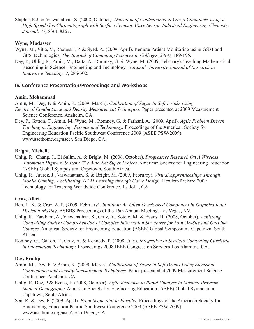Staples, E.J. & Viswanathan, S. (2008, October). *Detection of Contrabands in Cargo Containers using a High Speed Gas Chromatograph with Surface Acoustic Wave Sensor. Industrial Engineering Chemistry Journal, 47,* 8361-8367.

#### **Wyne, Mudasser**

- Wyne, M., Vitla, V., Raougari, P. & Syed, A. (2009, April). Remote Patient Monitoring using GSM and GPS Technologies. *The Journal of Computing Sciences in Colleges. 24(4),* 189-195.
- Dey, P., Uhlig, R., Amin, M., Datta, A., Romney, G. & Wyne, M. (2009, February). Teaching Mathematical Reasoning in Science, Engineering and Technology*. National University Journal of Research in Innovative Teaching, 2*, 286-302.

#### **IV. Conference Presentation/Proceedings and Workshops**

#### **Amin, Mohammad**

Amin, M., Dey, P. & Amin, K. (2009, March). *Calibration of Sugar In Soft Drinks Using* 

- *Electrical Conductance and Density Measurement Techniques.* Paper presented at 2009 Measurement Science Conference. Anaheim, CA.
- Dey, P., Gatton, T., Amin, M.,Wyne, M., Romney, G. & Farhani, A. (2009, April). *Agile Problem Driven Teaching in Engineering, Science and Technology.* Proceedings of the American Society for Engineering Education Pacific Southwest Conference 2009 (ASEE PSW-2009). www.asethome.org/asee/. San Diego, CA.

#### **Bright, Michelle**

- Uhlig, R., Chang, J., El Salim, A. & Bright, M. (2008, October). *Progressive Research On A Wireless Automated Highway System: The Auto Net Super Project.* American Society for Engineering Education (ASEE) Global Symposium. Capetown, South Africa.
- Uhlig, R., Jaurez, J., Viswanathan, S. & Bright, M. (2009, February). *Virtual Apprenticeships Through Mobile Gaming: Facilitating STEM Learning through Game Design.* Hewlett-Packard 2009 Technology for Teaching Worldwide Conference. La Jolla, CA

#### **Cruz, Albert**

- Ben, L. K. & Cruz, A. P. (2009, February). *Intuition: An Often Overlooked Component in Organizational Decision-Making.* ASBBS Proceedings of the 16th Annual Meeting. Las Vegas, NV.
- Uhlig, R., Farahani, A., Viswanathan, S., Cruz, A., Sotelo, M. & Evans, H. (2008, October). *Achieving Compelling Student Comprehension of Complex Information Structures for both On-Site and On-Line Courses.* American Society for Engineering Education (ASEE) Global Symposium. Capetown, South Africa.
- Romney, G., Gatton, T., Cruz, A. & Kennedy, P. (2008, July). *Integration of Services Computing Curricula in Information Technology.* Proceedings 2008 IEEE Congress on Services Los Alamitos, CA.

#### **Dey, Pradip**

- Amin, M., Dey, P. & Amin, K. (2009, March). *Calibration of Sugar in Soft Drinks Using Electrical Conductance and Density Measurement Techniques.* Paper presented at 2009 Measurement Science Conference. Anaheim, CA.
- Uhlig, R, Dey, P & Evans, H (2008, October). *Agile Response to Rapid Changes in Masters Program Student Demography.* American Society for Engineering Education (ASEE) Global Symposium. Capetown, South Africa.
- Sen, R. & Dey, P. (2009, April). *From Sequential to Parallel.* Proceedings of the American Society for Engineering Education Pacific Southwest Conference 2009 (ASEE PSW-2009). www.asethome.org/asee/. San Diego, CA.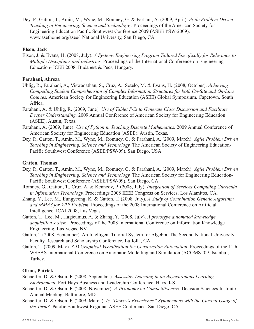Dey, P., Gatton, T., Amin, M., Wyne, M., Romney, G. & Farhani, A. (2009, April). *Agile Problem Driven Teaching in Engineering, Science and Technology,.* Proceedings of the American Society for Engineering Education Pacific Southwest Conference 2009 (ASEE PSW-2009). www.asethome.org/asee/. National University, San Diego, CA.

#### **Elson, Jack**

Elson, J. & Evans, H. (2008, July). *A Systems Engineering Program Tailored Specifically for Relevance to Multiple Disciplines and Industries.* Proceedings of the International Conference on Engineering Education- ICEE 2008. Budapest & Pecs, Hungary.

#### **Farahani, Alireza**

- Uhlig, R., Farahani, A., Viswanathan, S., Cruz, A., Sotelo, M. & Evans, H. (2008, October). *Achieving Compelling Student Comprehension of Complex Information Structures for both On-Site and On-Line Courses.* American Society for Engineering Education (ASEE) Global Symposium. Capetown, South Africa.
- Farahani, A. & Uhlig, R. (2009, June). *Use of Tablet PCs to Generate Class Discussion and Facilitate Deeper Understanding.* 2009 Annual Conference of American Society for Engineering Education (ASEE). Austin, Texas.
- Farahani, A. (2009, June). *Use of Python in Teaching Discrete Mathematics.* 2009 Annual Conference of American Society for Engineering Education (ASEE). Austin, Texas.
- Dey, P., Gatton, T., Amin, M., Wyne, M., Romney, G. & Farahani, A. (2009, March). *Agile Problem Driven Teaching in Engineering, Science and Technology.* The American Society of Engineering Education-Pacific Southwest Conference (ASEE/PSW-09). San Diego, USA.

#### **Gatton, Thomas**

- Dey, P., Gatton, T., Amin, M., Wyne, M., Romney, G. & Farahani, A. (2009, March). *Agile Problem Driven Teaching in Engineering, Science and Technology.* The American Society for Engineering Education-Pacific Southwest Conference (ASEE/PSW-09). San Diego, CA.
- Romney, G., Gatton, T., Cruz, A. & Kennedy, P. (2008, July). *Integration of Services Computing Curricula in Information Technology.* Proceedings 2008 IEEE Congress on Services. Los Alamitos, CA.
- Zhang, Y., Lee, M., Eungyeong, K. & Gatton, T. (2008, July). *A Study of Combination Genetic Algorithm and MMAS for VRP Problem.* Proceedings of the 2008 International Conference on Artificial Intelligence, ICAI 2008, Las Vegas.
- Gatton, T., Lee, M., Hagicumus, A. & Zhang, Y. (2008, July). *A prototype automated knowledge acquisition system.* Proceedings of the 2008 International Conference on Information Knowledge Engineering, Las Vegas, NV.
- Gatton, T.(2008, September). An Intelligent Tutorial System for Algebra. The Second National University Faculty Research and Scholarship Conference, La Jolla, CA.
- Gatton, T. (2009, May). *3-D Graphical Visualization for Construction Automation*. Proceedings of the 11th WSEAS International Conference on Automatic Modelling and Simulation (ACOMS '09. Istanbul, Turkey.

#### **Olson, Patrick**

- Schaeffer, D. & Olson, P. (2008, September). *Assessing Learning in an Asynchronous Learning Environment.* Fort Hays Business and Leadership Conference. Hays, KS.
- Schaeffer, D. & Olson, P. (2008, November). *A Taxonomy on Competitiveness.* Decision Sciences Institute Annual Meeting. Baltimore, MD.
- Schaeffer, D. & Olson, P. (2009, March). *Is "Dewey's Experience" Synonymous with the Current Usage of the Term?.* Pacific Southwest Regional ASEE Conference. San Diego, CA.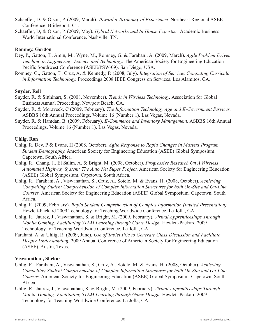- Schaeffer, D. & Olson, P. (2009, March). *Toward a Taxonomy of Experience.* Northeast Regional ASEE Conference. Bridgeport, CT.
- Schaeffer, D, & Olson, P. (2009, May). *Hybrid Networks and In House Expertise.* Academic Business World International Conference. Nashville, TN.

#### **Romney, Gordon**

- Dey, P., Gatton, T., Amin, M., Wyne, M., Romney, G. & Farahani, A. (2009, March). *Agile Problem Driven Teaching in Engineering, Science and Technology.* The American Society for Engineering Education-Pecific Southwest Conference (ASEE/PSW-09). San Diego, USA.
- Romney, G., Gatton, T., Cruz, A. & Kennedy, P. (2008, July). *Integration of Services Computing Curricula in Information Technology.* Proceedings 2008 IEEE Congress on Services. Los Alamitos, CA.

#### **Snyder, Rell**

- Snyder, R. & Sitthinart, S. (2008, November). *Trends in Wireless Technology.* Association for Global Business Annual Proceeding. Newport Beach, CA.
- Snyder, R. & Moraveck, C (2009, February). *The Information Technology Age and E-Government Services.* ASBBS 16th Annual Proceedings, Volume 16 (Number 1). Las Vegas, Nevada.
- Snyder, R. & Hamdan, B. (2009, February). *E-Commerce and Inventory Management.* ASBBS 16th Annual Proceedings, Volume 16 (Number 1). Las Vegas, Nevada.

#### **Uhlig, Ron**

- Uhlig, R, Dey, P & Evans, H (2008, October). *Agile Response to Rapid Changes in Masters Program Student Demography.* American Society for Engineering Education (ASEE) Global Symposium. Capetown, South Africa.
- Uhlig, R., Chang, J., El Salim, A. & Bright, M. (2008, October). *Progressive Research On A Wireless Automated Highway System: The Auto Net Super Project.* American Society for Engineering Education (ASEE) Global Symposium. Capetown, South Africa.
- Uhlig, R., Farahani, A., Viswanathan, S., Cruz, A., Sotelo, M. & Evans, H. (2008, October). *Achieving Compelling Student Comprehension of Complex Information Structures for both On-Site and On-Line Courses.* American Society for Engineering Education (ASEE) Global Symposium. Capetown, South Africa.
- Uhlig, R. (2009, February). *Rapid Student Comprehension of Complex Information (Invited Presentation).* Hewlett-Packard 2009 Technology for Teaching Worldwide Conference. La Jolla, CA.
- Uhlig, R., Jaurez, J., Viswanathan, S. & Bright, M. (2009, February). *Virtual Apprenticeships Through Mobile Gaming: Facilitating STEM Learning through Game Design.* Hewlett-Packard 2009 Technology for Teaching Worldwide Conference. La Jolla, CA
- Farahani, A. & Uhlig, R. (2009, June). *Use of Tablet PCs to Generate Class Discussion and Facilitate Deeper Understanding.* 2009 Annual Conference of American Society for Engineering Education (ASEE). Austin, Texas.

#### **Viswanathan, Shekar**

- Uhlig, R., Farahani, A., Viswanathan, S., Cruz, A., Sotelo, M. & Evans, H. (2008, October). *Achieving Compelling Student Comprehension of Complex Information Structures for both On-Site and On-Line Courses.* American Society for Engineering Education (ASEE) Global Symposium. Capetown, South Africa.
- Uhlig, R., Jaurez, J., Viswanathan, S. & Bright, M. (2009, February). *Virtual Apprenticeships Through Mobile Gaming: Facilitating STEM Learning through Game Design.* Hewlett-Packard 2009 Technology for Teaching Worldwide Conference. La Jolla, CA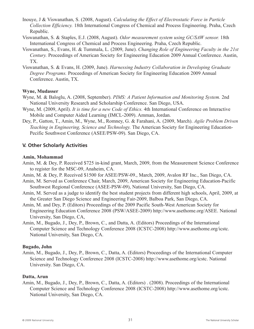- Inouye, J & Viswanathan, S. (2008, August). *Calculating the Effect of Electrostatic Force in Particle Collection Efficiency.* 18th International Congress of Chemical and Process Engineering. Praha, Czech Republic.
- Viswanathan, S. & Staples, E.J. (2008, August). *Odor measurement system using GC/SAW sensor.* 18th International Congress of Chemical and Process Engineering. Praha, Czech Republic.
- Viswanathan, S., Evans, H. & Tummala, L. (2009, June). *Changing Role of Engineering Faculty in the 21st Century.* Proceedings of American Society for Engineering Education 2009 Annual Conference. Austin, TX.
- Viswanathan, S. & Evans, H. (2009, June). *Harnessing Industry Collaboration in Developing Graduate Degree Programs.* Proceedings of American Society for Engineering Education 2009 Annual Conference. Austin, TX.

#### **Wyne, Mudasser**

- Wyne, M. & Baloglu, A. (2008, September). *PIMS: A Patient Information and Monitoring System.* 2nd National University Research and Scholarship Conference. San Diego, USA.
- Wyne, M. (2009, April). *It is time for a new Code of Ethics.* 4th International Conference on Interactive Mobile and Computer Aided Learning (IMCL-2009). Amman, Jordan.
- Dey, P., Gatton, T., Amin, M., Wyne, M., Romney, G. & Farahani, A. (2009, March). *Agile Problem Driven Teaching in Engineering, Science and Technology.* The American Society for Engineering Education-Pecific Southwest Conference (ASEE/PSW-09). San Diego, CA.

#### **V. Other Scholarly Activities**

#### **Amin, Mohammad**

- Amin, M. & Dey, P. Received \$725 in-kind grant, March, 2009, from the Measurement Science Conference to register for the MSC-09, Anaheim, CA.
- Amin, M. & Dey, P. Received \$1500 for ASEE/PSW-09., March, 2009, Avalon RF Inc., San Diego, CA.
- Amin, M. Served as Conference Chair, March, 2009, American Society for Engineering Education-Pacific Southwest Regional Conference (ASEE-PSW-09), National University, San Diego, CA.
- Amin, M. Served as a judge to identify the best student projects from different high schools, April, 2009, at the Greater San Diego Science and Engineering Fair-2009, Balboa Park, San Diego, CA.
- Amin, M. and Dey, P. (Editors) Proceedings of the 2009 Pacific South-West American Society for Engineering Education Conference 2008 (PSW/ASEE-2009) http://www.asethome.org/ASEE. National University, San Diego, CA,
- Amin, M., Bugado, J., Dey, P., Brown, C., and Datta, A. (Editors) Proceedings of the International Computer Science and Technology Conference 2008 (ICSTC-2008) http://www.asethome.org/icstc. National University, San Diego, CA.

#### **Bugado, John**

Amin, M., Bugado, J., Dey, P., Brown, C., Datta, A. (Editors) Proceedings of the International Computer Science and Technology Conference 2008 (ICSTC-2008) http://www.asethome.org/icstc. National University. San Diego, CA.

#### **Datta, Arun**

Amin, M., Bugado, J., Dey, P., Brown, C., Datta, A. (Editors) . (2008). Proceedings of the International Computer Science and Technology Conference 2008 (ICSTC-2008) http://www.asethome.org/icstc. National University, San Diego, CA.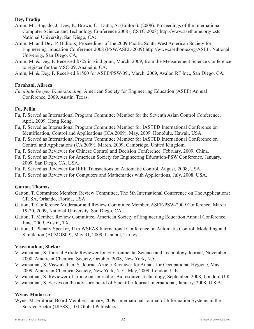#### **Dey, Pradip**

- Amin, M., Bugado, J., Dey, P., Brown, C., Datta, A. (Editors). (2008). Proceedings of the International Computer Science and Technology Conference 2008 (ICSTC-2008) http://www.asethome.org/icstc. National University, San Diego, CA:
- Amin, M. and Dey, P. (Editors) Proceedings of the 2009 Pacific South-West American Society for Engineering Education Conference 2008 (PSW/ASEE-2009) http://www.asethome.org/ASEE. National University, San Diego, CA,
- Amin, M. & Dey, P. Received \$725 in-kind grant, March, 2009, from the Measurement Science Conference to register for the MSC-09, Anaheim, CA.

Amin, M. & Dey, P. Received \$1500 for ASEE/PSW-09., March, 2009, Avalon RF Inc., San Diego, CA.

#### **Farahani, Alireza**

*Facilitate Deeper Understanding.* American Society for Engineering Education (ASEE) Annual Conference, 2009. Austin, Texas.

#### **Fu, Peilin**

- Fu, P. Served as International Program Committee Member for the Seventh Asian Control Conference, April, 2009, Hong Kong.
- Fu, P. Served as International Program Committee Member for IASTED International Conference on Identification, Control and Applications (ICA 2009), May, 2009, Honolulu, Hawaii, USA.
- Fu, P. Served as International Program Committee Member for IASTED International Conference on Control and Applications (CA 2009), March, 2009, Cambridge, United Kingdom.
- Fu, P. Served as Reviewer for Chinese Control and Decision Conference, February, 2009, China.
- Fu, P. Served as Reviewer for American Society for Engineering Education-PSW Conference, January, 2009, San Diego, CA, USA.
- Fu, P. Served as Reviewer for IEEE Transactions on Automatic Control, August, 2008, USA.
- Fu, P. Served as Reviewer for Computers and Mathematics with Applications, July, 2008, USA.

#### **Gatton, Thomas**

- Gatton, T. Committee Member, Review Committee, The 5th International Conference on The Applications: CITSA, Orlando, Florida, USA.
- Gatton, T. Conference Moderator and Review Committee Member, ASEE/PSW-2009 Conference, March 19-20, 2009, National University, San Diego, CA.
- Gatton, T. Member, Review Committee, American Society of Engineering Education Annual Conference, June, 2009, Austin, TX.
- Gatton, T. Plenary Speaker, 11th WSEAS International Conference on Automatic Control, Modelling and Simulation (ACMOS09), May 31, 2009, Istanbul, Turkey.

#### **Viswanathan, Shekar**

- Viswanathan, S. Journal Article Reviewer for Environmental Science and Technology Journal, November, 2008, American Chemical Society, October, 2008, New York, N.Y.
- Viswanathan, S. Viswanathan, S. Journal Article Reviewer for Annals for Occupational Hygiene, May 2009, American Chemical Society, New York, N.Y., May, 2009, London, U.K.

Viswanathan, S. Reviewer of article on Journal of Bioresource Technology, September, 2008, London, U.K. Viswanathan, S. Serves on the advisory board of Scientific Journal International, January, 2008, U.S.A.

#### **Wyne, Mudasser**

Wyne, M. Editorial Board Member, January, 2009, International Journal of Information Systems in the Service Sector (IJISSS), IGI Global Publishers.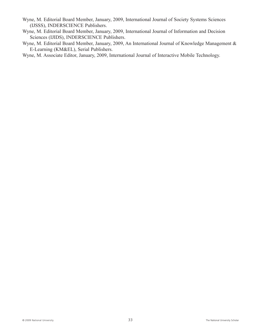- Wyne, M. Editorial Board Member, January, 2009, International Journal of Society Systems Sciences (IJSSS), INDERSCIENCE Publishers.
- Wyne, M. Editorial Board Member, January, 2009, International Journal of Information and Decision Sciences (IJIDS), INDERSCIENCE Publishers.
- Wyne, M. Editorial Board Member, January, 2009, An International Journal of Knowledge Management & E-Learning (KM&EL), Serial Publishers.

Wyne, M. Associate Editor, January, 2009, International Journal of Interactive Mobile Technology.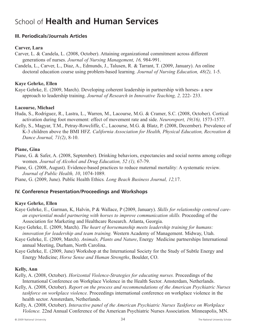## School of **Health and Human Services**

#### **III. Periodicals/Journals Articles**

#### **Carver, Lara**

Carver, L. & Candela, L. (2008, October). Attaining organizational commitment across different generations of nurses. *Journal of Nursing Management, 16,* 984-991.

Candela, L., Carver, L., Diaz, A., Edmunds, J., Talusen, R. & Tarrant, T. (2009, January). An online doctoral education course using problem-based learning*. Journal of Nursing Education, 48(2),* 1-5.

#### **Kaye Gehrke, Ellen**

Kaye Gehrke, E. (2009, March). Developing coherent leadership in partnership with horses- a new approach to leadership training. *Journal of Research in Innovative Teaching, 2,* 222- 233.

#### **Lacourse, Michael**

Huda, S., Rodriguez, R., Lastra, L., Warren, M., Lacourse, M.G. & Cramer, S.C. (2008, October). Cortical activation during foot movement: effect of movement rate and side. *Neuroreport, 19(16),* 1573-1577.

Kelly, S., Magyar, T.M., Petray-Rowcliffe, C., Lacourse, M.G. & Blatz, P. (2008, December). Prevalence of K-3 children above the BMI HFZ*. California Association for Health, Physical Education, Recreation & Dance Journal, 71(2)*, 8-10.

#### **Piane, Gina**

- Piane, G. & Safer, A. (2008, September). Drinking behaviors, expectancies and social norms among college women. *Journal of Alcohol and Drug Education, 52 (1),* 67-79.
- Piane, G. (2008, August). Evidence-based practices to reduce maternal mortality: A systematic review*. Journal of Public Health, 10*, 1074-1089.

Piane, G. (2009, June). Public Health Ethics*. Long Beach Business Journal, 12,*17.

#### **IV. Conference Presentation/Proceedings and Workshops**

#### **Kaye Gehrke, Ellen**

- Kaye Gehrke, E., Garman, K, Halvin, P & Wallace, P (2009, January). *Skills for relationship centered carean experiential model partnering with horses to improve communication skills.* Proceeding of the Association for Marketing and Healthcare Research. Atlanta, Georgia.
- Kaye Gehrke, E. (2009, March). *The heart of horsemanship meets leadership training for humans: innovation for leadership and team training.* Western Academy of Management. Midway, Utah.
- Kaye Gehrke, E. (2009, March). *Animals, Plants and Nature*, Energy Medicine partnerships International annual Meeting, Durham, North Carolina.
- Kaye Gehrke, E. (2009, June) Workshop at the International Society for the Study of Subtle Energy and Energy Medicine; *Horse Sense and Human Strengths*, Boulder, CO.

#### **Kelly, Ann**

- Kelly, A. (2008, October). *Horizontal Violence-Strategies for educating nurses.* Proceedings of the International Conference on Workplace Violence in the Health Sector. Amsterdam, Netherlands.
- Kelly, A. (2008, October). *Report on the process and recommendations of the American Psychiatric Nurses taskforce on workplace violence.* Proceedings international conference on workplace violence in the health sector. Amsterdam, Netherlands.
- Kelly, A. (2008, October). *Interactive panel of the American Psychiatric Nurses Taskforce on Workplace Violence.* 22nd Annual Conference of the American Psychiatric Nurses Association. Minneapolis, MN.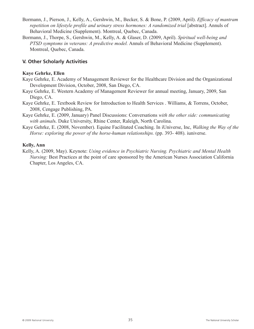- Bormann, J., Pierson, J., Kelly, A., Gershwin, M., Becker, S. & Bone, P. (2009, April). *Efficacy of mantram repetition on lifestyle profile and urinary stress hormones: A randomized trial* [abstract]. Annuls of Behavioral Medicine (Supplement). Montreal, Quebec, Canada.
- Bormann, J., Thorpe, S., Gershwin, M., Kelly, A. & Glaser, D. (2009, April). *Spiritual well-being and PTSD symptoms in veterans: A predictive model.* Annuls of Behavioral Medicine (Supplement). Montreal, Quebec, Canada.

#### **V. Other Scholarly Activities**

#### **Kaye Gehrke, Ellen**

- Kaye Gehrke, E. Academy of Management Reviewer for the Healthcare Division and the Organizational Development Division, October, 2008, San Diego, CA.
- Kaye Gehrke, E. Western Academy of Management Reviewer for annual meeting, January, 2009, San Diego, CA.
- Kaye Gehrke, E. Textbook Review for Introduction to Health Services . Williams, & Torrens, October, 2008, Cengage Publishing, PA.
- Kaye Gehrke, E. (2009, January) Panel Discussions: Conversations *with the other side: communicating with animal*s. Duke University, Rhine Center, Raleigh, North Carolina.
- Kaye Gehrke, E. (2008, November). Equine Facilitated Coaching. In iUniverse, Inc, *Walking the Way of the Horse: exploring the power of the horse-human relationships.* (pp. 393- 408). iuniverse.

#### **Kelly, Ann**

Kelly, A. (2009, May). Keynote: *Using evidence in Psychiatric Nursing. Psychiatric and Mental Health Nursing:* Best Practices at the point of care sponsored by the American Nurses Association California Chapter, Los Angeles, CA.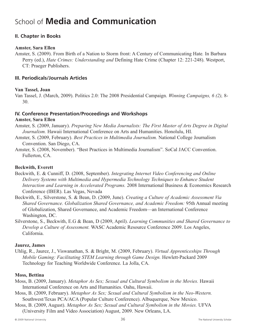## School of **Media and Communication**

#### **II. Chapter in Books**

#### **Amster, Sara Ellen**

Amster, S. (2009). From Birth of a Nation to Storm front: A Century of Communicating Hate*.* In Barbara Perry (ed.), *Hate Crimes: Understanding and* Defining Hate Crime (Chapter 12: 221-248). Westport, CT: Praeger Publishers.

#### **III. Periodicals/Journals Articles**

#### **Van Tassel, Joan**

Van Tassel, J. (March, 2009). Politics 2.0: The 2008 Presidential Campaign. *Winning Campaigns, 6 (2),* 8- 30.

#### **IV. Conference Presentation/Proceedings and Workshops Amster, Sara Ellen**

- Amster, S. (2009, January). *Preparing New Media Journalists: The First Master of Arts Degree in Digital Journalism.* Hawaii International Conference on Arts and Humanities. Honolulu, HI.
- Amster, S. (2009, February). *Best Practices in Multimedia Journalism.* National College Journalism Convention. San Diego, CA.
- Amster, S. (2008, November). "Best Practices in Multimedia Journalism". SoCal JACC Convention. Fullerton, CA.

#### **Beckwith, Everett**

- Beckwith, E. & Cunniff, D. (2008, September). *Integrating Internet Video Conferencing and Online Delivery Systems with Multimedia and Hypermedia Technology Techniques to Enhance Student Interaction and Learning in Accelerated Programs.* 2008 International Business & Economics Research Conference (IBER). Las Vegas, Nevada
- Beckwith, E., Silverstone, S. & Bean, D. (2009, June). *Creating a Culture of Academic Assessment Via Shared Governance. Globalization Shared Governance, and Academic Freedom:* 95th Annual meeting of Globalization, Shared Governance, and Academic Freedom—an International Conference Washington, DC.
- Silverstone, S., Beckwith, E.G & Bean, D (2009, April). *Learning Communities and Shared Governance to Develop a Culture of Assessment.* WASC Academic Resource Conference 2009. Los Angeles, California.

#### **Jaurez, James**

Uhlig, R., Jaurez, J., Viswanathan, S. & Bright, M. (2009, February). *Virtual Apprenticeships Through Mobile Gaming: Facilitating STEM Learning through Game Design.* Hewlett-Packard 2009 Technology for Teaching Worldwide Conference. La Jolla, CA.

#### **Moss, Bettina**

- Moss, B. (2009, January). *Metaphor As Sex; Sexual and Cultural Symbolism in the Movies.* Hawaii International Conference on Arts and Humanities. Oahu, Hawaii.
- Moss, B. (2009, February). *Metaphor As Sex; Sexual and Cultural Symbolism in the Neo-Western.* Southwest/Texas PCA/ACA (Popular Culture Conference). Albuquerque, New Mexico.
- Moss, B. (2009, August). *Metaphor As Sex; Sexual and Cultural Symbolism in the Movies.* UFVA (University Film and Video Association) August, 2009. New Orleans, LA.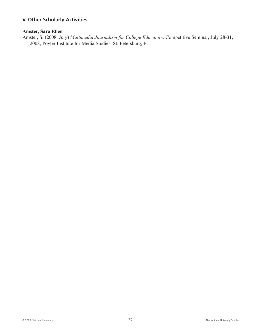#### **V. Other Scholarly Activities**

#### **Amster, Sara Ellen**

Amster, S. (2008, July) *Multimedia Journalism for College Educators,* Competitive Seminar, July 28-31, 2008, Poyter Institute for Media Studies, St. Petersburg, FL.